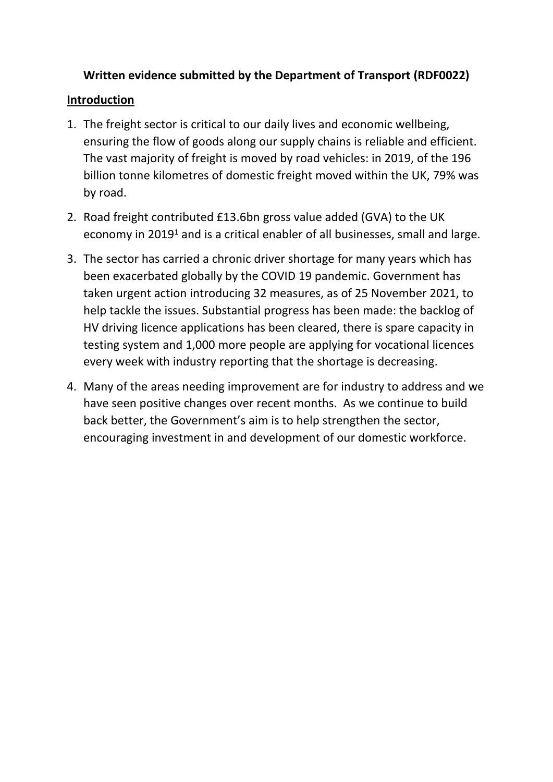## **Written evidence submitted by the Department of Transport (RDF0022)**

### **Introduction**

- 1. The freight sector is critical to our daily lives and economic wellbeing, ensuring the flow of goods along our supply chains is reliable and efficient. The vast majority of freight is moved by road vehicles: in 2019, of the 196 billion tonne kilometres of domestic freight moved within the UK, 79% was by road.
- 2. Road freight contributed £13.6bn gross value added (GVA) to the UK economy in 2019<sup>1</sup> and is a critical enabler of all businesses, small and large.
- 3. The sector has carried a chronic driver shortage for many years which has been exacerbated globally by the COVID 19 pandemic. Government has taken urgent action introducing 32 measures, as of 25 November 2021, to help tackle the issues. Substantial progress has been made: the backlog of HV driving licence applications has been cleared, there is spare capacity in testing system and 1,000 more people are applying for vocational licences every week with industry reporting that the shortage is decreasing.
- 4. Many of the areas needing improvement are for industry to address and we have seen positive changes over recent months. As we continue to build back better, the Government's aim is to help strengthen the sector, encouraging investment in and development of our domestic workforce.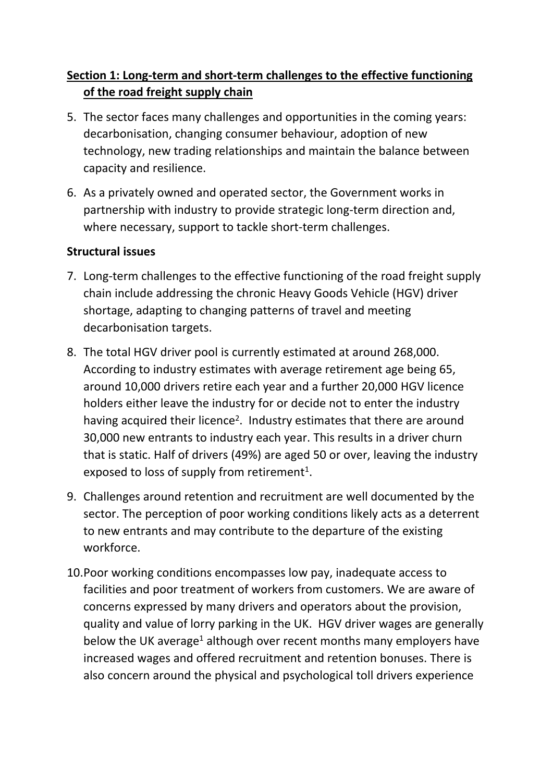# **Section 1: Long-term and short-term challenges to the effective functioning of the road freight supply chain**

- 5. The sector faces many challenges and opportunities in the coming years: decarbonisation, changing consumer behaviour, adoption of new technology, new trading relationships and maintain the balance between capacity and resilience.
- 6. As a privately owned and operated sector, the Government works in partnership with industry to provide strategic long-term direction and, where necessary, support to tackle short-term challenges.

### **Structural issues**

- 7. Long-term challenges to the effective functioning of the road freight supply chain include addressing the chronic Heavy Goods Vehicle (HGV) driver shortage, adapting to changing patterns of travel and meeting decarbonisation targets.
- 8. The total HGV driver pool is currently estimated at around 268,000. According to industry estimates with average retirement age being 65, around 10,000 drivers retire each year and a further 20,000 HGV licence holders either leave the industry for or decide not to enter the industry having acquired their licence<sup>2</sup>. Industry estimates that there are around 30,000 new entrants to industry each year. This results in a driver churn that is static. Half of drivers (49%) are aged 50 or over, leaving the industry exposed to loss of supply from retirement<sup>1</sup>.
- 9. Challenges around retention and recruitment are well documented by the sector. The perception of poor working conditions likely acts as a deterrent to new entrants and may contribute to the departure of the existing workforce.
- 10.Poor working conditions encompasses low pay, inadequate access to facilities and poor treatment of workers from customers. We are aware of concerns expressed by many drivers and operators about the provision, quality and value of lorry parking in the UK. HGV driver wages are generally below the UK average<sup>1</sup> although over recent months many employers have increased wages and offered recruitment and retention bonuses. There is also concern around the physical and psychological toll drivers experience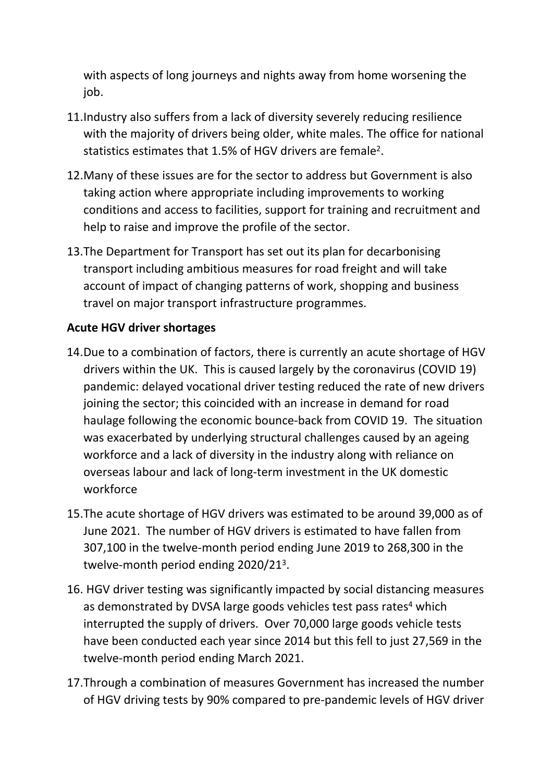with aspects of long journeys and nights away from home worsening the job.

- 11.Industry also suffers from a lack of diversity severely reducing resilience with the majority of drivers being older, white males. The office for national statistics estimates that 1.5% of HGV drivers are female<sup>2</sup>.
- 12.Many of these issues are for the sector to address but Government is also taking action where appropriate including improvements to working conditions and access to facilities, support for training and recruitment and help to raise and improve the profile of the sector.
- 13.The Department for Transport has set out its plan for decarbonising transport including ambitious measures for road freight and will take account of impact of changing patterns of work, shopping and business travel on major transport infrastructure programmes.

### **Acute HGV driver shortages**

- 14.Due to a combination of factors, there is currently an acute shortage of HGV drivers within the UK. This is caused largely by the coronavirus (COVID 19) pandemic: delayed vocational driver testing reduced the rate of new drivers joining the sector; this coincided with an increase in demand for road haulage following the economic bounce-back from COVID 19. The situation was exacerbated by underlying structural challenges caused by an ageing workforce and a lack of diversity in the industry along with reliance on overseas labour and lack of long-term investment in the UK domestic workforce
- 15.The acute shortage of HGV drivers was estimated to be around 39,000 as of June 2021. The number of HGV drivers is estimated to have fallen from 307,100 in the twelve-month period ending June 2019 to 268,300 in the twelve-month period ending 2020/21<sup>3</sup>.
- 16. HGV driver testing was significantly impacted by social distancing measures as demonstrated by DVSA large goods vehicles test pass rates<sup>4</sup> which interrupted the supply of drivers. Over 70,000 large goods vehicle tests have been conducted each year since 2014 but this fell to just 27,569 in the twelve-month period ending March 2021.
- 17.Through a combination of measures Government has increased the number of HGV driving tests by 90% compared to pre-pandemic levels of HGV driver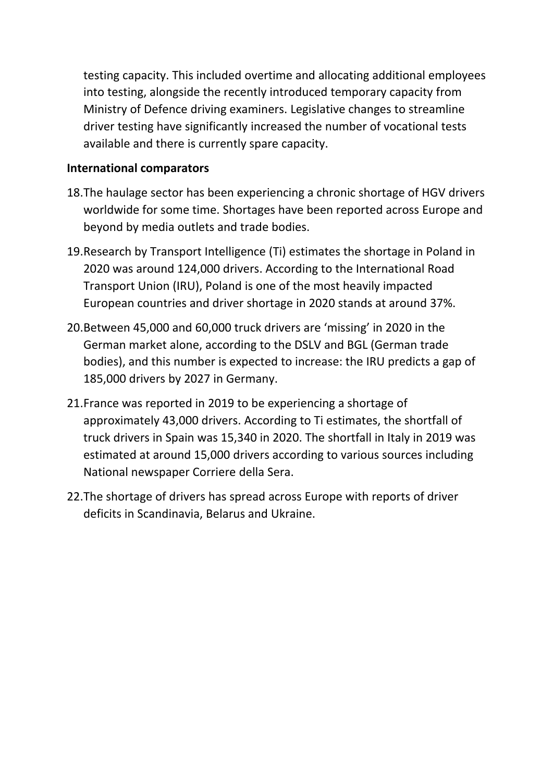testing capacity. This included overtime and allocating additional employees into testing, alongside the recently introduced temporary capacity from Ministry of Defence driving examiners. Legislative changes to streamline driver testing have significantly increased the number of vocational tests available and there is currently spare capacity.

#### **International comparators**

- 18.The haulage sector has been experiencing a chronic shortage of HGV drivers worldwide for some time. Shortages have been reported across Europe and beyond by media outlets and trade bodies.
- 19.Research by Transport Intelligence (Ti) estimates the shortage in Poland in 2020 was around 124,000 drivers. According to the International Road Transport Union (IRU), Poland is one of the most heavily impacted European countries and driver shortage in 2020 stands at around 37%.
- 20.Between 45,000 and 60,000 truck drivers are 'missing' in 2020 in the German market alone, according to the DSLV and BGL (German trade bodies), and this number is expected to increase: the IRU predicts a gap of 185,000 drivers by 2027 in Germany.
- 21.France was reported in 2019 to be experiencing a shortage of approximately 43,000 drivers. According to Ti estimates, the shortfall of truck drivers in Spain was 15,340 in 2020. The shortfall in Italy in 2019 was estimated at around 15,000 drivers according to various sources including National newspaper Corriere della Sera.
- 22.The shortage of drivers has spread across Europe with reports of driver deficits in Scandinavia, Belarus and Ukraine.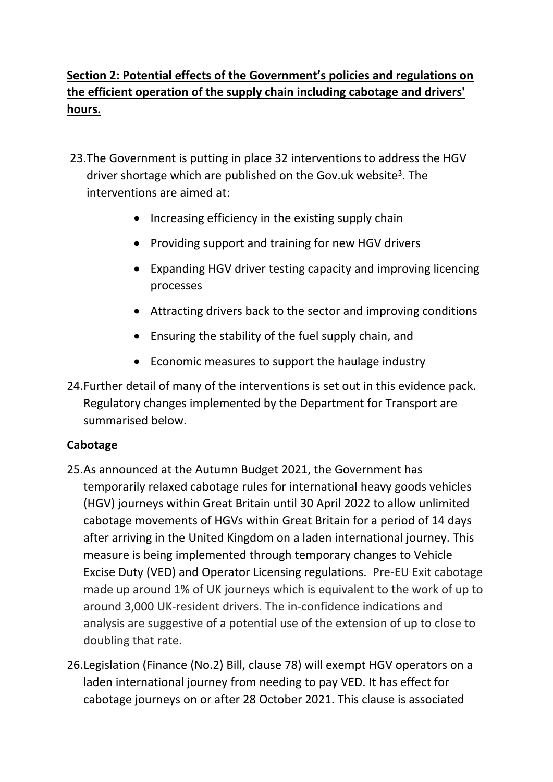# **Section 2: Potential effects of the Government's policies and regulations on the efficient operation of the supply chain including cabotage and drivers' hours.**

- 23.The Government is putting in place 32 interventions to address the HGV driver shortage which are published on the Gov.uk website<sup>3</sup>. The interventions are aimed at:
	- Increasing efficiency in the existing supply chain
	- Providing support and training for new HGV drivers
	- Expanding HGV driver testing capacity and improving licencing processes
	- Attracting drivers back to the sector and improving conditions
	- Ensuring the stability of the fuel supply chain, and
	- Economic measures to support the haulage industry
- 24.Further detail of many of the interventions is set out in this evidence pack. Regulatory changes implemented by the Department for Transport are summarised below.

### **Cabotage**

- 25.As announced at the Autumn Budget 2021, the Government has temporarily relaxed cabotage rules for international heavy goods vehicles (HGV) journeys within Great Britain until 30 April 2022 to allow unlimited cabotage movements of HGVs within Great Britain for a period of 14 days after arriving in the United Kingdom on a laden international journey. This measure is being implemented through temporary changes to Vehicle Excise Duty (VED) and Operator Licensing regulations. Pre-EU Exit cabotage made up around 1% of UK journeys which is equivalent to the work of up to around 3,000 UK-resident drivers. The in-confidence indications and analysis are suggestive of a potential use of the extension of up to close to doubling that rate.
- 26.Legislation (Finance (No.2) Bill, clause 78) will exempt HGV operators on a laden international journey from needing to pay VED. It has effect for cabotage journeys on or after 28 October 2021. This clause is associated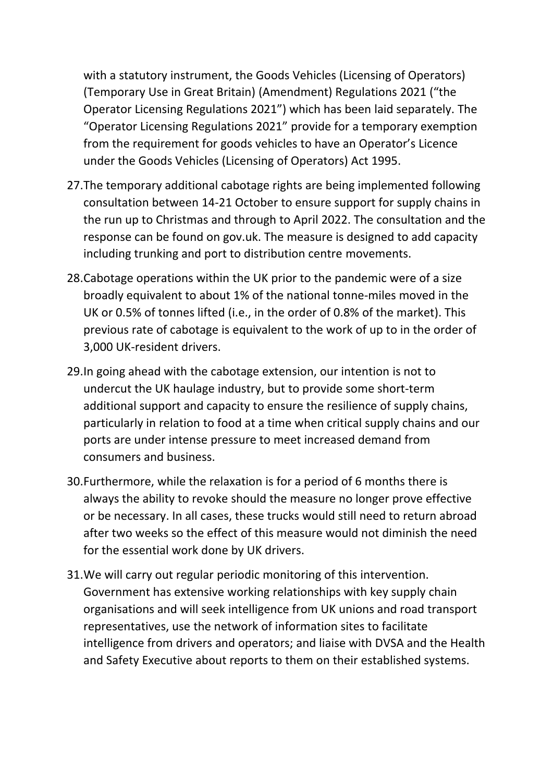with a statutory instrument, the Goods Vehicles (Licensing of Operators) (Temporary Use in Great Britain) (Amendment) Regulations 2021 ("the Operator Licensing Regulations 2021") which has been laid separately. The "Operator Licensing Regulations 2021" provide for a temporary exemption from the requirement for goods vehicles to have an Operator's Licence under the Goods Vehicles (Licensing of Operators) Act 1995.

- 27.The temporary additional cabotage rights are being implemented following consultation between 14-21 October to ensure support for supply chains in the run up to Christmas and through to April 2022. The consultation and the response can be found on gov.uk. The measure is designed to add capacity including trunking and port to distribution centre movements.
- 28.Cabotage operations within the UK prior to the pandemic were of a size broadly equivalent to about 1% of the national tonne-miles moved in the UK or 0.5% of tonnes lifted (i.e., in the order of 0.8% of the market). This previous rate of cabotage is equivalent to the work of up to in the order of 3,000 UK-resident drivers.
- 29.In going ahead with the cabotage extension, our intention is not to undercut the UK haulage industry, but to provide some short-term additional support and capacity to ensure the resilience of supply chains, particularly in relation to food at a time when critical supply chains and our ports are under intense pressure to meet increased demand from consumers and business.
- 30.Furthermore, while the relaxation is for a period of 6 months there is always the ability to revoke should the measure no longer prove effective or be necessary. In all cases, these trucks would still need to return abroad after two weeks so the effect of this measure would not diminish the need for the essential work done by UK drivers.
- 31.We will carry out regular periodic monitoring of this intervention. Government has extensive working relationships with key supply chain organisations and will seek intelligence from UK unions and road transport representatives, use the network of information sites to facilitate intelligence from drivers and operators; and liaise with DVSA and the Health and Safety Executive about reports to them on their established systems.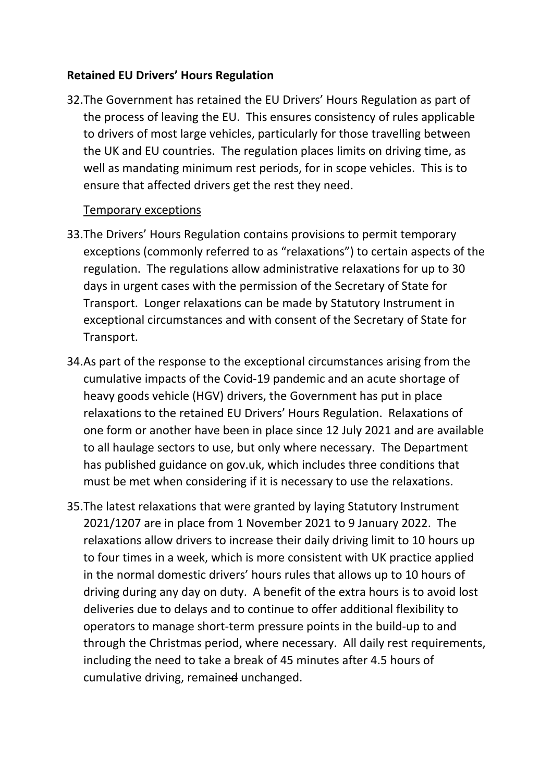#### **Retained EU Drivers' Hours Regulation**

32.The Government has retained the EU Drivers' Hours Regulation as part of the process of leaving the EU. This ensures consistency of rules applicable to drivers of most large vehicles, particularly for those travelling between the UK and EU countries. The regulation places limits on driving time, as well as mandating minimum rest periods, for in scope vehicles. This is to ensure that affected drivers get the rest they need.

#### Temporary exceptions

- 33.The Drivers' Hours Regulation contains provisions to permit temporary exceptions (commonly referred to as "relaxations") to certain aspects of the regulation. The regulations allow administrative relaxations for up to 30 days in urgent cases with the permission of the Secretary of State for Transport. Longer relaxations can be made by Statutory Instrument in exceptional circumstances and with consent of the Secretary of State for Transport.
- 34.As part of the response to the exceptional circumstances arising from the cumulative impacts of the Covid-19 pandemic and an acute shortage of heavy goods vehicle (HGV) drivers, the Government has put in place relaxations to the retained EU Drivers' Hours Regulation. Relaxations of one form or another have been in place since 12 July 2021 and are available to all haulage sectors to use, but only where necessary. The Department has published guidance on gov.uk, which includes three conditions that must be met when considering if it is necessary to use the relaxations.
- 35.The latest relaxations that were granted by laying Statutory Instrument 2021/1207 are in place from 1 November 2021 to 9 January 2022. The relaxations allow drivers to increase their daily driving limit to 10 hours up to four times in a week, which is more consistent with UK practice applied in the normal domestic drivers' hours rules that allows up to 10 hours of driving during any day on duty. A benefit of the extra hours is to avoid lost deliveries due to delays and to continue to offer additional flexibility to operators to manage short-term pressure points in the build-up to and through the Christmas period, where necessary. All daily rest requirements, including the need to take a break of 45 minutes after 4.5 hours of cumulative driving, remained unchanged.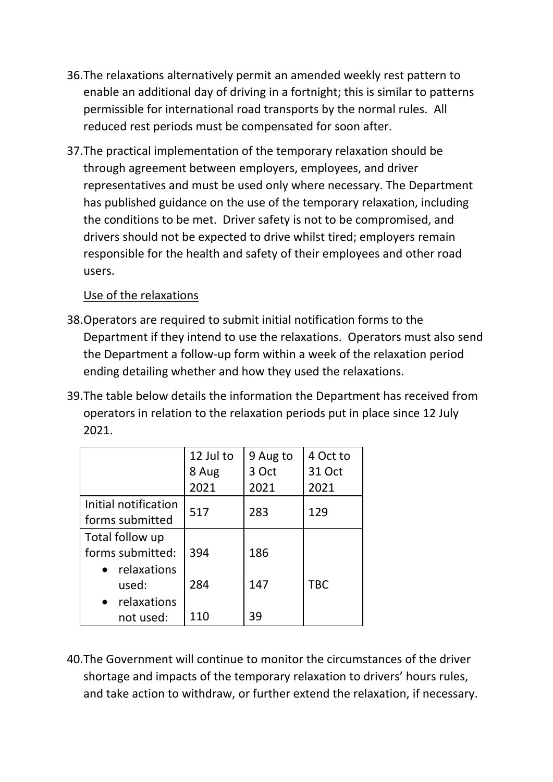- 36.The relaxations alternatively permit an amended weekly rest pattern to enable an additional day of driving in a fortnight; this is similar to patterns permissible for international road transports by the normal rules. All reduced rest periods must be compensated for soon after.
- 37.The practical implementation of the temporary relaxation should be through agreement between employers, employees, and driver representatives and must be used only where necessary. The Department has published guidance on the use of the temporary relaxation, including the conditions to be met. Driver safety is not to be compromised, and drivers should not be expected to drive whilst tired; employers remain responsible for the health and safety of their employees and other road users.

### Use of the relaxations

- 38.Operators are required to submit initial notification forms to the Department if they intend to use the relaxations. Operators must also send the Department a follow-up form within a week of the relaxation period ending detailing whether and how they used the relaxations.
- 39.The table below details the information the Department has received from operators in relation to the relaxation periods put in place since 12 July 2021.

|                      | 12 Jul to | 9 Aug to | 4 Oct to   |
|----------------------|-----------|----------|------------|
|                      | 8 Aug     | 3 Oct    | 31 Oct     |
|                      | 2021      | 2021     | 2021       |
| Initial notification | 517       | 283      | 129        |
| forms submitted      |           |          |            |
| Total follow up      |           |          |            |
| forms submitted:     | 394       | 186      |            |
| relaxations          |           |          |            |
| used:                | 284       | 147      | <b>TBC</b> |
| relaxations          |           |          |            |
| not used:            | 110       | 39       |            |

40.The Government will continue to monitor the circumstances of the driver shortage and impacts of the temporary relaxation to drivers' hours rules, and take action to withdraw, or further extend the relaxation, if necessary.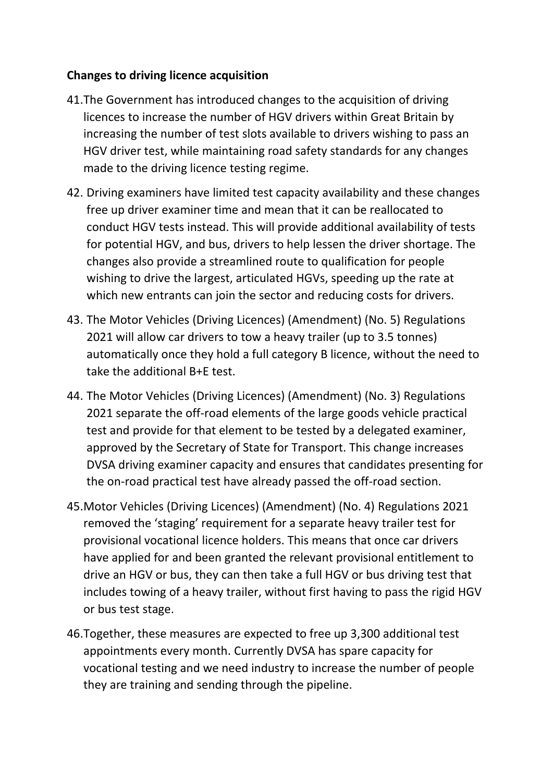### **Changes to driving licence acquisition**

- 41.The Government has introduced changes to the acquisition of driving licences to increase the number of HGV drivers within Great Britain by increasing the number of test slots available to drivers wishing to pass an HGV driver test, while maintaining road safety standards for any changes made to the driving licence testing regime.
- 42. Driving examiners have limited test capacity availability and these changes free up driver examiner time and mean that it can be reallocated to conduct HGV tests instead. This will provide additional availability of tests for potential HGV, and bus, drivers to help lessen the driver shortage. The changes also provide a streamlined route to qualification for people wishing to drive the largest, articulated HGVs, speeding up the rate at which new entrants can join the sector and reducing costs for drivers.
- 43. The Motor Vehicles (Driving Licences) (Amendment) (No. 5) Regulations 2021 will allow car drivers to tow a heavy trailer (up to 3.5 tonnes) automatically once they hold a full category B licence, without the need to take the additional B+E test.
- 44. The Motor Vehicles (Driving Licences) (Amendment) (No. 3) Regulations 2021 separate the off-road elements of the large goods vehicle practical test and provide for that element to be tested by a delegated examiner, approved by the Secretary of State for Transport. This change increases DVSA driving examiner capacity and ensures that candidates presenting for the on-road practical test have already passed the off-road section.
- 45.Motor Vehicles (Driving Licences) (Amendment) (No. 4) Regulations 2021 removed the 'staging' requirement for a separate heavy trailer test for provisional vocational licence holders. This means that once car drivers have applied for and been granted the relevant provisional entitlement to drive an HGV or bus, they can then take a full HGV or bus driving test that includes towing of a heavy trailer, without first having to pass the rigid HGV or bus test stage.
- 46.Together, these measures are expected to free up 3,300 additional test appointments every month. Currently DVSA has spare capacity for vocational testing and we need industry to increase the number of people they are training and sending through the pipeline.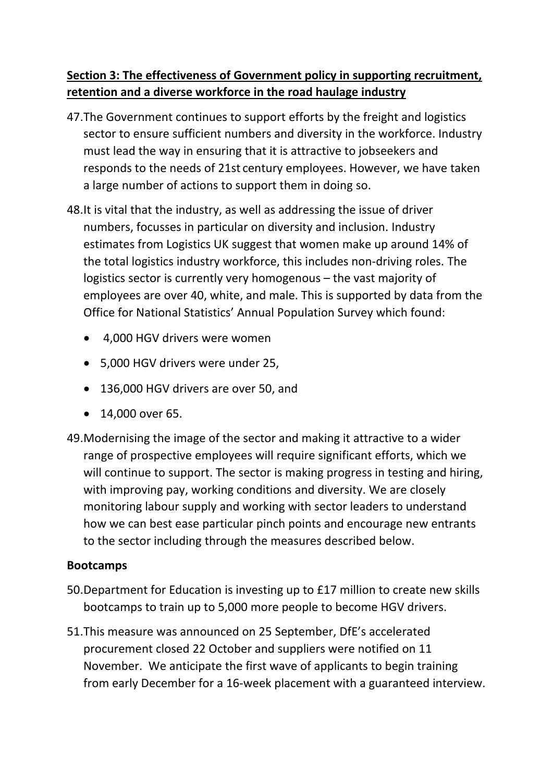## **Section 3: The effectiveness of Government policy in supporting recruitment, retention and a diverse workforce in the road haulage industry**

- 47.The Government continues to support efforts by the freight and logistics sector to ensure sufficient numbers and diversity in the workforce. Industry must lead the way in ensuring that it is attractive to jobseekers and responds to the needs of 21st century employees. However, we have taken a large number of actions to support them in doing so.
- 48.It is vital that the industry, as well as addressing the issue of driver numbers, focusses in particular on diversity and inclusion. Industry estimates from Logistics UK suggest that women make up around 14% of the total logistics industry workforce, this includes non-driving roles. The logistics sector is currently very homogenous – the vast majority of employees are over 40, white, and male. This is supported by data from the Office for National Statistics' Annual Population Survey which found:
	- 4,000 HGV drivers were women
	- 5,000 HGV drivers were under 25,
	- 136,000 HGV drivers are over 50, and
	- 14,000 over 65.
- 49.Modernising the image of the sector and making it attractive to a wider range of prospective employees will require significant efforts, which we will continue to support. The sector is making progress in testing and hiring, with improving pay, working conditions and diversity. We are closely monitoring labour supply and working with sector leaders to understand how we can best ease particular pinch points and encourage new entrants to the sector including through the measures described below.

### **Bootcamps**

- 50.Department for Education is investing up to £17 million to create new skills bootcamps to train up to 5,000 more people to become HGV drivers.
- 51.This measure was announced on 25 September, DfE's accelerated procurement closed 22 October and suppliers were notified on 11 November. We anticipate the first wave of applicants to begin training from early December for a 16-week placement with a guaranteed interview.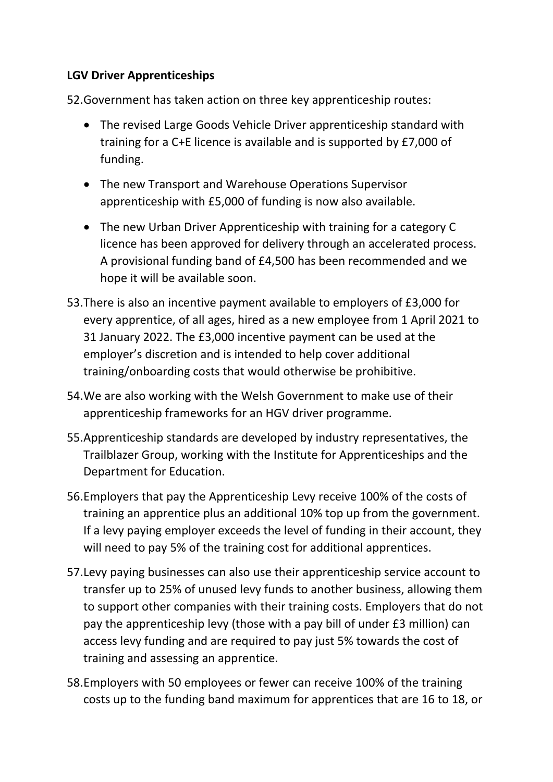### **LGV Driver Apprenticeships**

52.Government has taken action on three key apprenticeship routes:

- The revised Large Goods Vehicle Driver apprenticeship standard with training for a C+E licence is available and is supported by £7,000 of funding.
- The new Transport and Warehouse Operations Supervisor apprenticeship with £5,000 of funding is now also available.
- The new Urban Driver Apprenticeship with training for a category C licence has been approved for delivery through an accelerated process. A provisional funding band of £4,500 has been recommended and we hope it will be available soon.
- 53.There is also an incentive payment available to employers of £3,000 for every apprentice, of all ages, hired as a new employee from 1 April 2021 to 31 January 2022. The £3,000 incentive payment can be used at the employer's discretion and is intended to help cover additional training/onboarding costs that would otherwise be prohibitive.
- 54.We are also working with the Welsh Government to make use of their apprenticeship frameworks for an HGV driver programme.
- 55.Apprenticeship standards are developed by industry representatives, the Trailblazer Group, working with the Institute for Apprenticeships and the Department for Education.
- 56.Employers that pay the Apprenticeship Levy receive 100% of the costs of training an apprentice plus an additional 10% top up from the government. If a levy paying employer exceeds the level of funding in their account, they will need to pay 5% of the training cost for additional apprentices.
- 57.Levy paying businesses can also use their apprenticeship service account to transfer up to 25% of unused levy funds to another business, allowing them to support other companies with their training costs. Employers that do not pay the apprenticeship levy (those with a pay bill of under £3 million) can access levy funding and are required to pay just 5% towards the cost of training and assessing an apprentice.
- 58.Employers with 50 employees or fewer can receive 100% of the training costs up to the funding band maximum for apprentices that are 16 to 18, or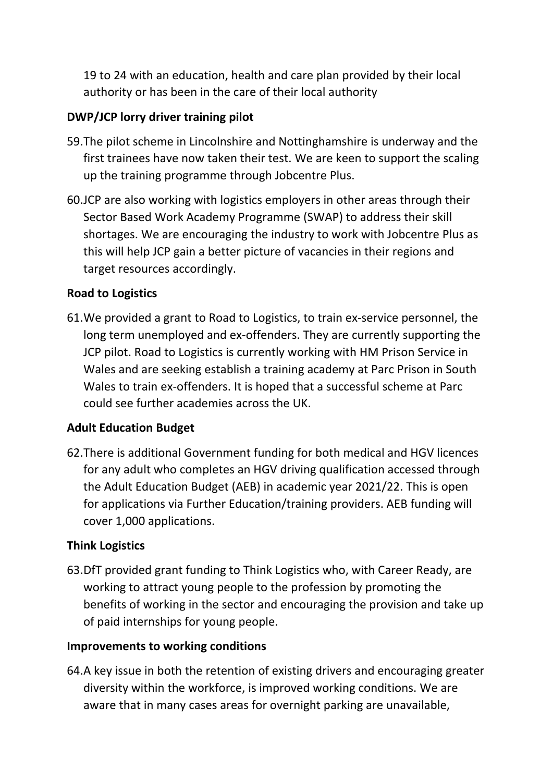19 to 24 with an education, health and care plan provided by their local authority or has been in the care of their local authority

### **DWP/JCP lorry driver training pilot**

- 59.The pilot scheme in Lincolnshire and Nottinghamshire is underway and the first trainees have now taken their test. We are keen to support the scaling up the training programme through Jobcentre Plus.
- 60.JCP are also working with logistics employers in other areas through their Sector Based Work Academy Programme (SWAP) to address their skill shortages. We are encouraging the industry to work with Jobcentre Plus as this will help JCP gain a better picture of vacancies in their regions and target resources accordingly.

### **Road to Logistics**

61.We provided a grant to Road to Logistics, to train ex-service personnel, the long term unemployed and ex-offenders. They are currently supporting the JCP pilot. Road to Logistics is currently working with HM Prison Service in Wales and are seeking establish a training academy at Parc Prison in South Wales to train ex-offenders. It is hoped that a successful scheme at Parc could see further academies across the UK.

### **Adult Education Budget**

62.There is additional Government funding for both medical and HGV licences for any adult who completes an HGV driving qualification accessed through the Adult Education Budget (AEB) in academic year 2021/22. This is open for applications via Further Education/training providers. AEB funding will cover 1,000 applications.

#### **Think Logistics**

63.DfT provided grant funding to Think Logistics who, with Career Ready, are working to attract young people to the profession by promoting the benefits of working in the sector and encouraging the provision and take up of paid internships for young people.

#### **Improvements to working conditions**

64.A key issue in both the retention of existing drivers and encouraging greater diversity within the workforce, is improved working conditions. We are aware that in many cases areas for overnight parking are unavailable,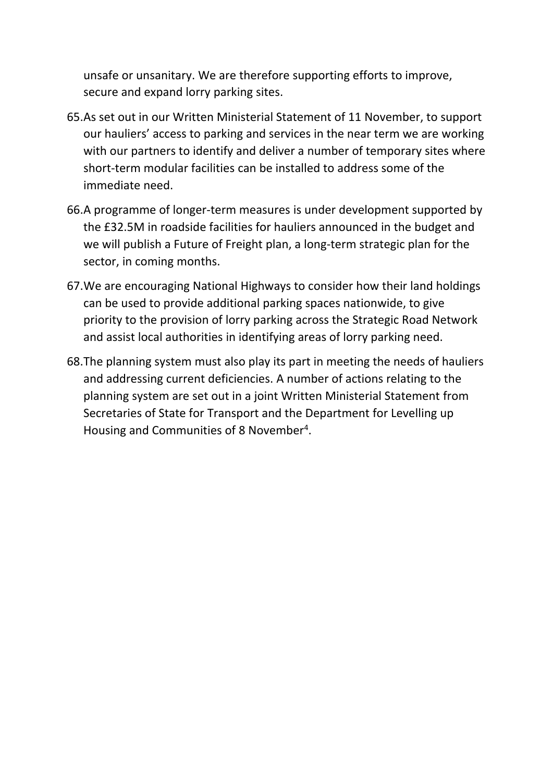unsafe or unsanitary. We are therefore supporting efforts to improve, secure and expand lorry parking sites.

- 65.As set out in our Written Ministerial Statement of 11 November, to support our hauliers' access to parking and services in the near term we are working with our partners to identify and deliver a number of temporary sites where short-term modular facilities can be installed to address some of the immediate need.
- 66.A programme of longer-term measures is under development supported by the £32.5M in roadside facilities for hauliers announced in the budget and we will publish a Future of Freight plan, a long-term strategic plan for the sector, in coming months.
- 67.We are encouraging National Highways to consider how their land holdings can be used to provide additional parking spaces nationwide, to give priority to the provision of lorry parking across the Strategic Road Network and assist local authorities in identifying areas of lorry parking need.
- 68.The planning system must also play its part in meeting the needs of hauliers and addressing current deficiencies. A number of actions relating to the planning system are set out in a joint Written Ministerial Statement from Secretaries of State for Transport and the Department for Levelling up Housing and Communities of 8 November<sup>4</sup>.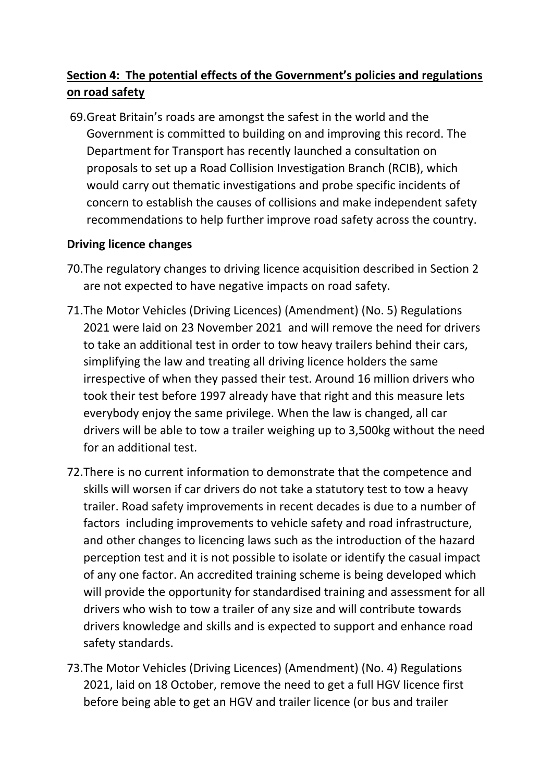# **Section 4: The potential effects of the Government's policies and regulations on road safety**

69.Great Britain's roads are amongst the safest in the world and the Government is committed to building on and improving this record. The Department for Transport has recently launched a consultation on proposals to set up a Road Collision Investigation Branch (RCIB), which would carry out thematic investigations and probe specific incidents of concern to establish the causes of collisions and make independent safety recommendations to help further improve road safety across the country.

### **Driving licence changes**

- 70.The regulatory changes to driving licence acquisition described in Section 2 are not expected to have negative impacts on road safety.
- 71.The Motor Vehicles (Driving Licences) (Amendment) (No. 5) Regulations 2021 were laid on 23 November 2021 and will remove the need for drivers to take an additional test in order to tow heavy trailers behind their cars, simplifying the law and treating all driving licence holders the same irrespective of when they passed their test. Around 16 million drivers who took their test before 1997 already have that right and this measure lets everybody enjoy the same privilege. When the law is changed, all car drivers will be able to tow a trailer weighing up to 3,500kg without the need for an additional test.
- 72.There is no current information to demonstrate that the competence and skills will worsen if car drivers do not take a statutory test to tow a heavy trailer. Road safety improvements in recent decades is due to a number of factors including improvements to vehicle safety and road infrastructure, and other changes to licencing laws such as the introduction of the hazard perception test and it is not possible to isolate or identify the casual impact of any one factor. An accredited training scheme is being developed which will provide the opportunity for standardised training and assessment for all drivers who wish to tow a trailer of any size and will contribute towards drivers knowledge and skills and is expected to support and enhance road safety standards.
- 73.The Motor Vehicles (Driving Licences) (Amendment) (No. 4) Regulations 2021, laid on 18 October, remove the need to get a full HGV licence first before being able to get an HGV and trailer licence (or bus and trailer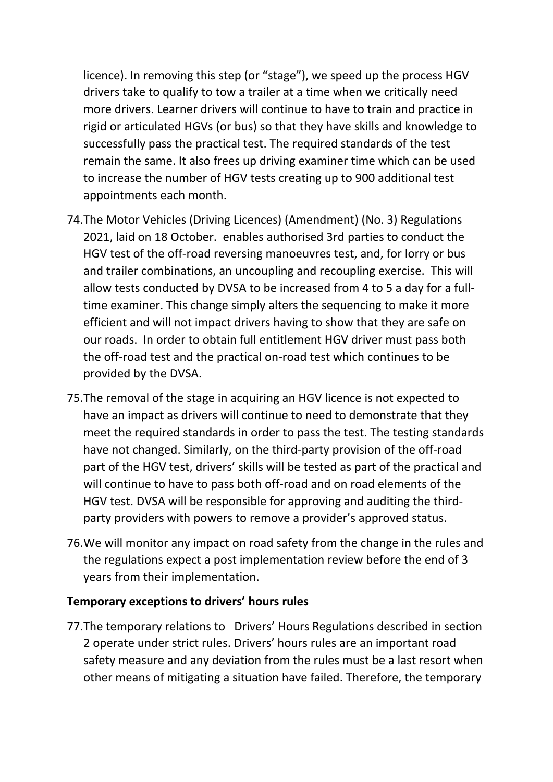licence). In removing this step (or "stage"), we speed up the process HGV drivers take to qualify to tow a trailer at a time when we critically need more drivers. Learner drivers will continue to have to train and practice in rigid or articulated HGVs (or bus) so that they have skills and knowledge to successfully pass the practical test. The required standards of the test remain the same. It also frees up driving examiner time which can be used to increase the number of HGV tests creating up to 900 additional test appointments each month.

- 74.The Motor Vehicles (Driving Licences) (Amendment) (No. 3) Regulations 2021, laid on 18 October. enables authorised 3rd parties to conduct the HGV test of the off-road reversing manoeuvres test, and, for lorry or bus and trailer combinations, an uncoupling and recoupling exercise. This will allow tests conducted by DVSA to be increased from 4 to 5 a day for a fulltime examiner. This change simply alters the sequencing to make it more efficient and will not impact drivers having to show that they are safe on our roads. In order to obtain full entitlement HGV driver must pass both the off-road test and the practical on-road test which continues to be provided by the DVSA.
- 75.The removal of the stage in acquiring an HGV licence is not expected to have an impact as drivers will continue to need to demonstrate that they meet the required standards in order to pass the test. The testing standards have not changed. Similarly, on the third-party provision of the off-road part of the HGV test, drivers' skills will be tested as part of the practical and will continue to have to pass both off-road and on road elements of the HGV test. DVSA will be responsible for approving and auditing the thirdparty providers with powers to remove a provider's approved status.
- 76.We will monitor any impact on road safety from the change in the rules and the regulations expect a post implementation review before the end of 3 years from their implementation.

#### **Temporary exceptions to drivers' hours rules**

77.The temporary relations to Drivers' Hours Regulations described in section 2 operate under strict rules. Drivers' hours rules are an important road safety measure and any deviation from the rules must be a last resort when other means of mitigating a situation have failed. Therefore, the temporary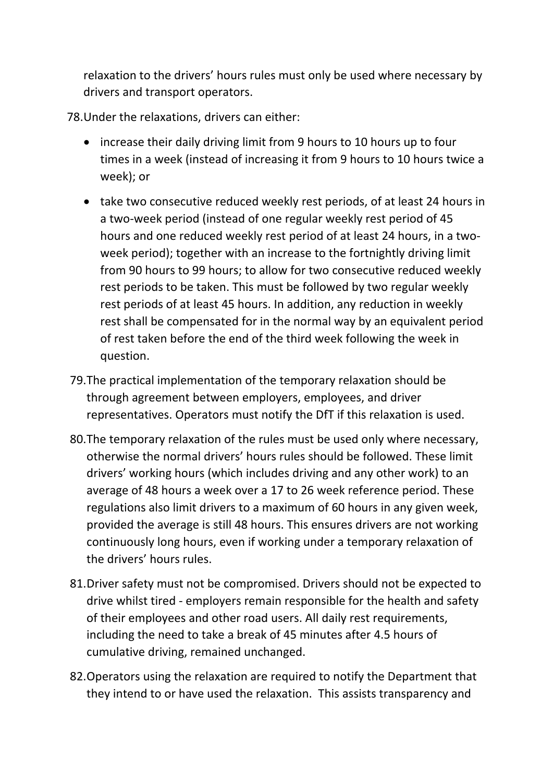relaxation to the drivers' hours rules must only be used where necessary by drivers and transport operators.

78.Under the relaxations, drivers can either:

- increase their daily driving limit from 9 hours to 10 hours up to four times in a week (instead of increasing it from 9 hours to 10 hours twice a week); or
- take two consecutive reduced weekly rest periods, of at least 24 hours in a two-week period (instead of one regular weekly rest period of 45 hours and one reduced weekly rest period of at least 24 hours, in a twoweek period); together with an increase to the fortnightly driving limit from 90 hours to 99 hours; to allow for two consecutive reduced weekly rest periods to be taken. This must be followed by two regular weekly rest periods of at least 45 hours. In addition, any reduction in weekly rest shall be compensated for in the normal way by an equivalent period of rest taken before the end of the third week following the week in question.
- 79.The practical implementation of the temporary relaxation should be through agreement between employers, employees, and driver representatives. Operators must notify the DfT if this relaxation is used.
- 80.The temporary relaxation of the rules must be used only where necessary, otherwise the normal drivers' hours rules should be followed. These limit drivers' working hours (which includes driving and any other work) to an average of 48 hours a week over a 17 to 26 week reference period. These regulations also limit drivers to a maximum of 60 hours in any given week, provided the average is still 48 hours. This ensures drivers are not working continuously long hours, even if working under a temporary relaxation of the drivers' hours rules.
- 81.Driver safety must not be compromised. Drivers should not be expected to drive whilst tired - employers remain responsible for the health and safety of their employees and other road users. All daily rest requirements, including the need to take a break of 45 minutes after 4.5 hours of cumulative driving, remained unchanged.
- 82.Operators using the relaxation are required to notify the Department that they intend to or have used the relaxation. This assists transparency and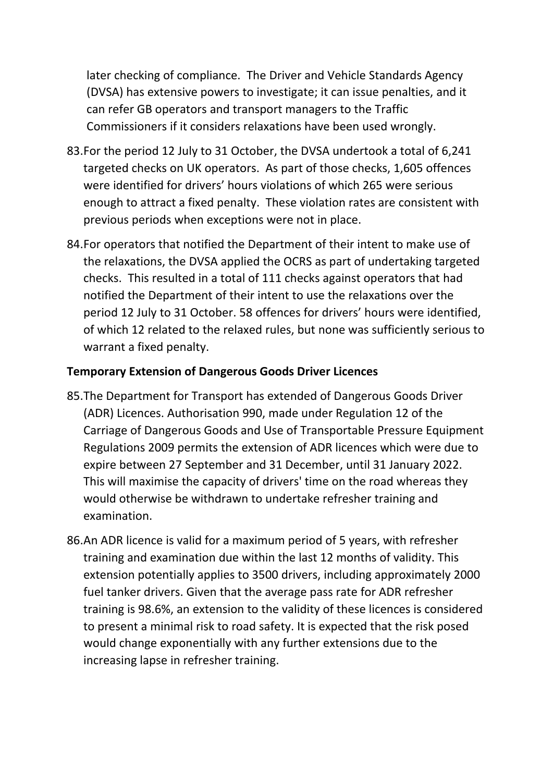later checking of compliance. The Driver and Vehicle Standards Agency (DVSA) has extensive powers to investigate; it can issue penalties, and it can refer GB operators and transport managers to the Traffic Commissioners if it considers relaxations have been used wrongly.

- 83.For the period 12 July to 31 October, the DVSA undertook a total of 6,241 targeted checks on UK operators. As part of those checks, 1,605 offences were identified for drivers' hours violations of which 265 were serious enough to attract a fixed penalty. These violation rates are consistent with previous periods when exceptions were not in place.
- 84.For operators that notified the Department of their intent to make use of the relaxations, the DVSA applied the OCRS as part of undertaking targeted checks. This resulted in a total of 111 checks against operators that had notified the Department of their intent to use the relaxations over the period 12 July to 31 October. 58 offences for drivers' hours were identified, of which 12 related to the relaxed rules, but none was sufficiently serious to warrant a fixed penalty.

#### **Temporary Extension of Dangerous Goods Driver Licences**

- 85.The Department for Transport has extended of Dangerous Goods Driver (ADR) Licences. Authorisation 990, made under Regulation 12 of the Carriage of Dangerous Goods and Use of Transportable Pressure Equipment Regulations 2009 permits the extension of ADR licences which were due to expire between 27 September and 31 December, until 31 January 2022. This will maximise the capacity of drivers' time on the road whereas they would otherwise be withdrawn to undertake refresher training and examination.
- 86.An ADR licence is valid for a maximum period of 5 years, with refresher training and examination due within the last 12 months of validity. This extension potentially applies to 3500 drivers, including approximately 2000 fuel tanker drivers. Given that the average pass rate for ADR refresher training is 98.6%, an extension to the validity of these licences is considered to present a minimal risk to road safety. It is expected that the risk posed would change exponentially with any further extensions due to the increasing lapse in refresher training.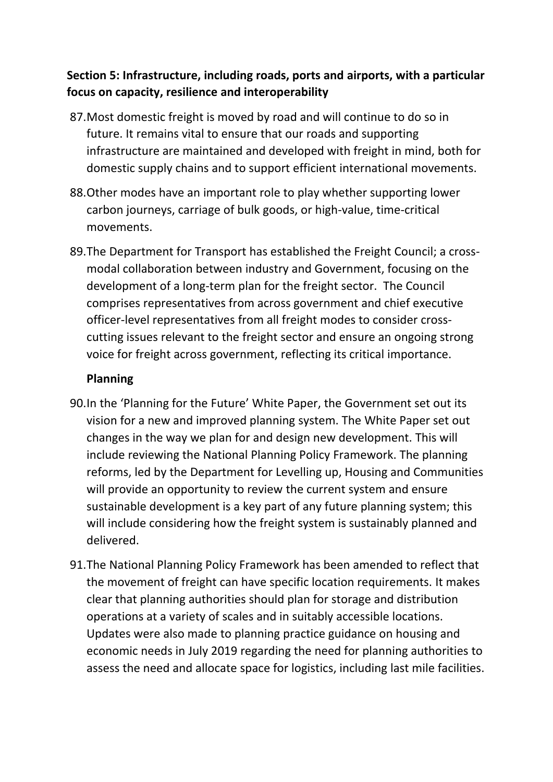## **Section 5: Infrastructure, including roads, ports and airports, with a particular focus on capacity, resilience and interoperability**

- 87.Most domestic freight is moved by road and will continue to do so in future. It remains vital to ensure that our roads and supporting infrastructure are maintained and developed with freight in mind, both for domestic supply chains and to support efficient international movements.
- 88.Other modes have an important role to play whether supporting lower carbon journeys, carriage of bulk goods, or high-value, time-critical movements.
- 89.The Department for Transport has established the Freight Council; a crossmodal collaboration between industry and Government, focusing on the development of a long-term plan for the freight sector. The Council comprises representatives from across government and chief executive officer-level representatives from all freight modes to consider crosscutting issues relevant to the freight sector and ensure an ongoing strong voice for freight across government, reflecting its critical importance.

### **Planning**

- 90.In the 'Planning for the Future' White Paper, the Government set out its vision for a new and improved planning system. The White Paper set out changes in the way we plan for and design new development. This will include reviewing the National Planning Policy Framework. The planning reforms, led by the Department for Levelling up, Housing and Communities will provide an opportunity to review the current system and ensure sustainable development is a key part of any future planning system; this will include considering how the freight system is sustainably planned and delivered.
- 91.The National Planning Policy Framework has been amended to reflect that the movement of freight can have specific location requirements. It makes clear that planning authorities should plan for storage and distribution operations at a variety of scales and in suitably accessible locations. Updates were also made to planning practice guidance on housing and economic needs in July 2019 regarding the need for planning authorities to assess the need and allocate space for logistics, including last mile facilities.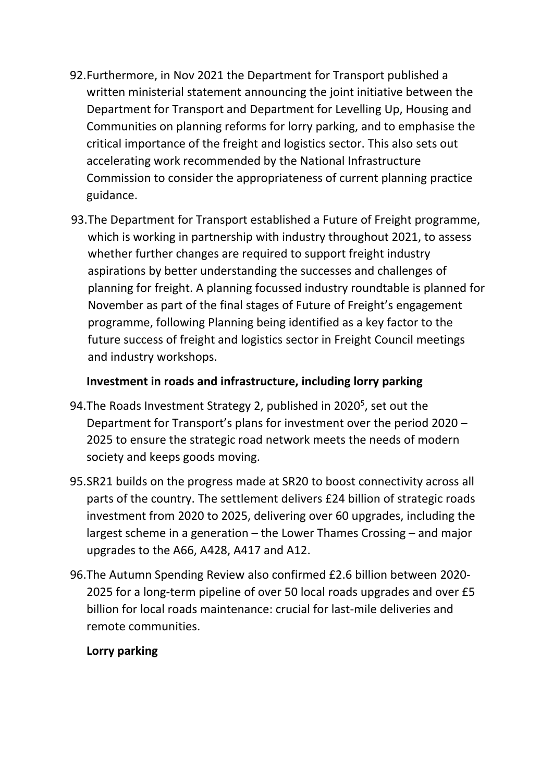- 92.Furthermore, in Nov 2021 the Department for Transport published a written ministerial statement announcing the joint initiative between the Department for Transport and Department for Levelling Up, Housing and Communities on planning reforms for lorry parking, and to emphasise the critical importance of the freight and logistics sector. This also sets out accelerating work recommended by the National Infrastructure Commission to consider the appropriateness of current planning practice guidance.
- 93.The Department for Transport established a Future of Freight programme, which is working in partnership with industry throughout 2021, to assess whether further changes are required to support freight industry aspirations by better understanding the successes and challenges of planning for freight. A planning focussed industry roundtable is planned for November as part of the final stages of Future of Freight's engagement programme, following Planning being identified as a key factor to the future success of freight and logistics sector in Freight Council meetings and industry workshops.

### **Investment in roads and infrastructure, including lorry parking**

- 94. The Roads Investment Strategy 2, published in 2020<sup>5</sup>, set out the Department for Transport's plans for investment over the period 2020 – 2025 to ensure the strategic road network meets the needs of modern society and keeps goods moving.
- 95.SR21 builds on the progress made at SR20 to boost connectivity across all parts of the country. The settlement delivers £24 billion of strategic roads investment from 2020 to 2025, delivering over 60 upgrades, including the largest scheme in a generation – the Lower Thames Crossing – and major upgrades to the A66, A428, A417 and A12.
- 96.The Autumn Spending Review also confirmed £2.6 billion between 2020- 2025 for a long-term pipeline of over 50 local roads upgrades and over £5 billion for local roads maintenance: crucial for last-mile deliveries and remote communities.

### **Lorry parking**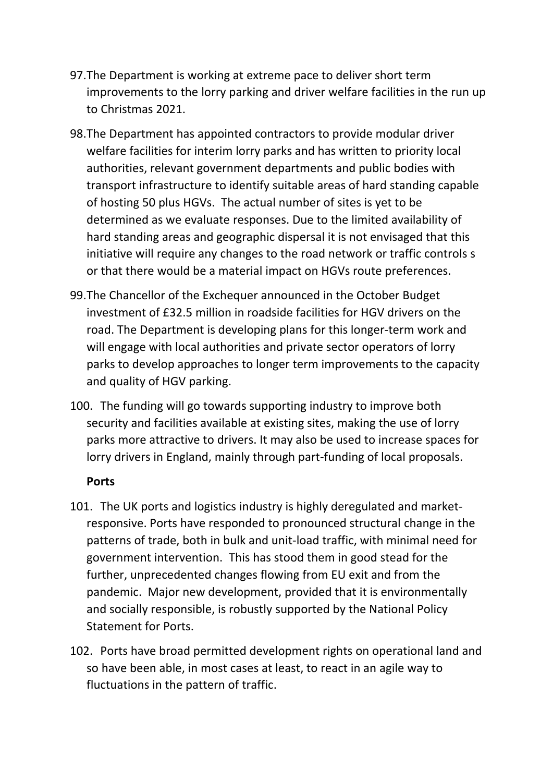- 97.The Department is working at extreme pace to deliver short term improvements to the lorry parking and driver welfare facilities in the run up to Christmas 2021.
- 98.The Department has appointed contractors to provide modular driver welfare facilities for interim lorry parks and has written to priority local authorities, relevant government departments and public bodies with transport infrastructure to identify suitable areas of hard standing capable of hosting 50 plus HGVs. The actual number of sites is yet to be determined as we evaluate responses. Due to the limited availability of hard standing areas and geographic dispersal it is not envisaged that this initiative will require any changes to the road network or traffic controls s or that there would be a material impact on HGVs route preferences.
- 99.The Chancellor of the Exchequer announced in the October Budget investment of £32.5 million in roadside facilities for HGV drivers on the road. The Department is developing plans for this longer-term work and will engage with local authorities and private sector operators of lorry parks to develop approaches to longer term improvements to the capacity and quality of HGV parking.
- 100. The funding will go towards supporting industry to improve both security and facilities available at existing sites, making the use of lorry parks more attractive to drivers. It may also be used to increase spaces for lorry drivers in England, mainly through part-funding of local proposals.

#### **Ports**

- 101. The UK ports and logistics industry is highly deregulated and marketresponsive. Ports have responded to pronounced structural change in the patterns of trade, both in bulk and unit-load traffic, with minimal need for government intervention. This has stood them in good stead for the further, unprecedented changes flowing from EU exit and from the pandemic. Major new development, provided that it is environmentally and socially responsible, is robustly supported by the National Policy Statement for Ports.
- 102. Ports have broad permitted development rights on operational land and so have been able, in most cases at least, to react in an agile way to fluctuations in the pattern of traffic.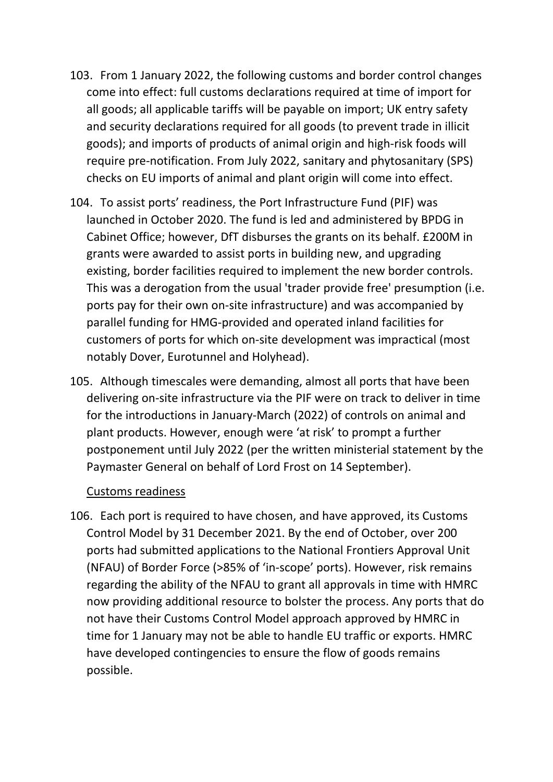- 103. From 1 January 2022, the following customs and border control changes come into effect: full customs declarations required at time of import for all goods; all applicable tariffs will be payable on import; UK entry safety and security declarations required for all goods (to prevent trade in illicit goods); and imports of products of animal origin and high-risk foods will require pre-notification. From July 2022, sanitary and phytosanitary (SPS) checks on EU imports of animal and plant origin will come into effect.
- 104. To assist ports' readiness, the Port Infrastructure Fund (PIF) was launched in October 2020. The fund is led and administered by BPDG in Cabinet Office; however, DfT disburses the grants on its behalf. £200M in grants were awarded to assist ports in building new, and upgrading existing, border facilities required to implement the new border controls. This was a derogation from the usual 'trader provide free' presumption (i.e. ports pay for their own on-site infrastructure) and was accompanied by parallel funding for HMG-provided and operated inland facilities for customers of ports for which on-site development was impractical (most notably Dover, Eurotunnel and Holyhead).
- 105. Although timescales were demanding, almost all ports that have been delivering on-site infrastructure via the PIF were on track to deliver in time for the introductions in January-March (2022) of controls on animal and plant products. However, enough were 'at risk' to prompt a further postponement until July 2022 (per the written ministerial statement by the Paymaster General on behalf of Lord Frost on 14 September).

#### Customs readiness

106. Each port is required to have chosen, and have approved, its Customs Control Model by 31 December 2021. By the end of October, over 200 ports had submitted applications to the National Frontiers Approval Unit (NFAU) of Border Force (>85% of 'in-scope' ports). However, risk remains regarding the ability of the NFAU to grant all approvals in time with HMRC now providing additional resource to bolster the process. Any ports that do not have their Customs Control Model approach approved by HMRC in time for 1 January may not be able to handle EU traffic or exports. HMRC have developed contingencies to ensure the flow of goods remains possible.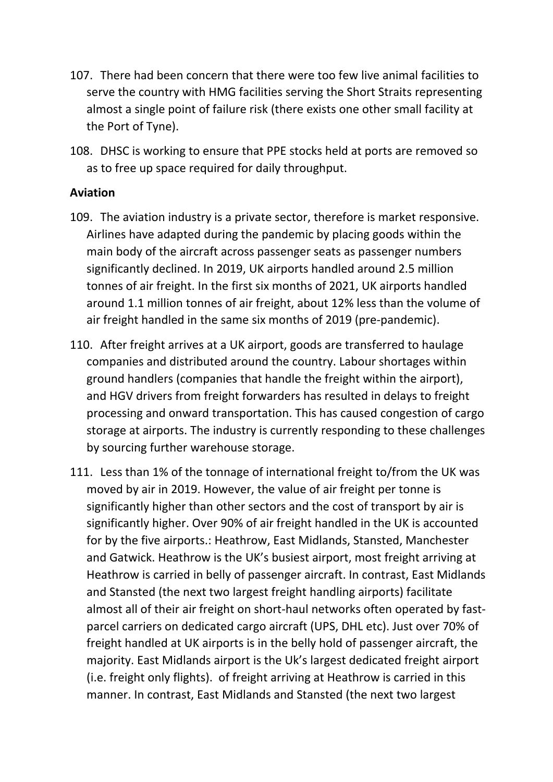- 107. There had been concern that there were too few live animal facilities to serve the country with HMG facilities serving the Short Straits representing almost a single point of failure risk (there exists one other small facility at the Port of Tyne).
- 108. DHSC is working to ensure that PPE stocks held at ports are removed so as to free up space required for daily throughput.

#### **Aviation**

- 109. The aviation industry is a private sector, therefore is market responsive. Airlines have adapted during the pandemic by placing goods within the main body of the aircraft across passenger seats as passenger numbers significantly declined. In 2019, UK airports handled around 2.5 million tonnes of air freight. In the first six months of 2021, UK airports handled around 1.1 million tonnes of air freight, about 12% less than the volume of air freight handled in the same six months of 2019 (pre-pandemic).
- 110. After freight arrives at a UK airport, goods are transferred to haulage companies and distributed around the country. Labour shortages within ground handlers (companies that handle the freight within the airport), and HGV drivers from freight forwarders has resulted in delays to freight processing and onward transportation. This has caused congestion of cargo storage at airports. The industry is currently responding to these challenges by sourcing further warehouse storage.
- 111. Less than 1% of the tonnage of international freight to/from the UK was moved by air in 2019. However, the value of air freight per tonne is significantly higher than other sectors and the cost of transport by air is significantly higher. Over 90% of air freight handled in the UK is accounted for by the five airports.: Heathrow, East Midlands, Stansted, Manchester and Gatwick. Heathrow is the UK's busiest airport, most freight arriving at Heathrow is carried in belly of passenger aircraft. In contrast, East Midlands and Stansted (the next two largest freight handling airports) facilitate almost all of their air freight on short-haul networks often operated by fastparcel carriers on dedicated cargo aircraft (UPS, DHL etc). Just over 70% of freight handled at UK airports is in the belly hold of passenger aircraft, the majority. East Midlands airport is the Uk's largest dedicated freight airport (i.e. freight only flights). of freight arriving at Heathrow is carried in this manner. In contrast, East Midlands and Stansted (the next two largest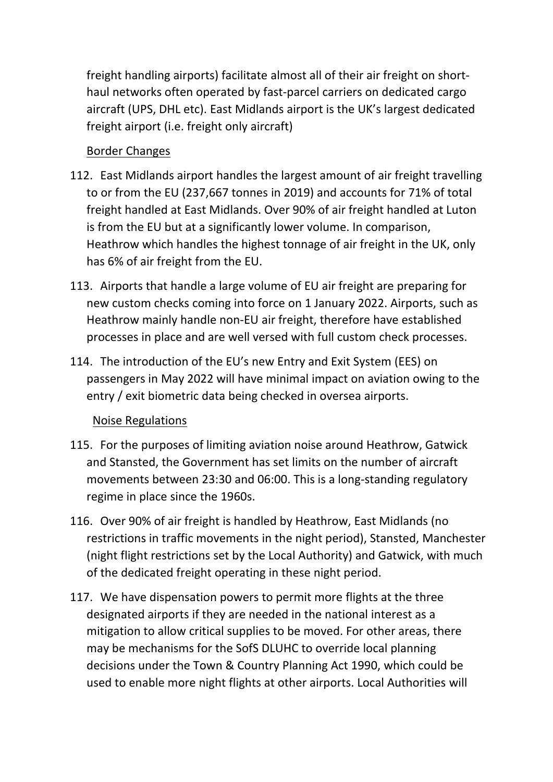freight handling airports) facilitate almost all of their air freight on shorthaul networks often operated by fast-parcel carriers on dedicated cargo aircraft (UPS, DHL etc). East Midlands airport is the UK's largest dedicated freight airport (i.e. freight only aircraft)

### Border Changes

- 112. East Midlands airport handles the largest amount of air freight travelling to or from the EU (237,667 tonnes in 2019) and accounts for 71% of total freight handled at East Midlands. Over 90% of air freight handled at Luton is from the EU but at a significantly lower volume. In comparison, Heathrow which handles the highest tonnage of air freight in the UK, only has 6% of air freight from the EU.
- 113. Airports that handle a large volume of EU air freight are preparing for new custom checks coming into force on 1 January 2022. Airports, such as Heathrow mainly handle non-EU air freight, therefore have established processes in place and are well versed with full custom check processes.
- 114. The introduction of the EU's new Entry and Exit System (EES) on passengers in May 2022 will have minimal impact on aviation owing to the entry / exit biometric data being checked in oversea airports.

### Noise Regulations

- 115. For the purposes of limiting aviation noise around Heathrow, Gatwick and Stansted, the Government has set limits on the number of aircraft movements between 23:30 and 06:00. This is a long-standing regulatory regime in place since the 1960s.
- 116. Over 90% of air freight is handled by Heathrow, East Midlands (no restrictions in traffic movements in the night period), Stansted, Manchester (night flight restrictions set by the Local Authority) and Gatwick, with much of the dedicated freight operating in these night period.
- 117. We have dispensation powers to permit more flights at the three designated airports if they are needed in the national interest as a mitigation to allow critical supplies to be moved. For other areas, there may be mechanisms for the SofS DLUHC to override local planning decisions under the Town & Country Planning Act 1990, which could be used to enable more night flights at other airports. Local Authorities will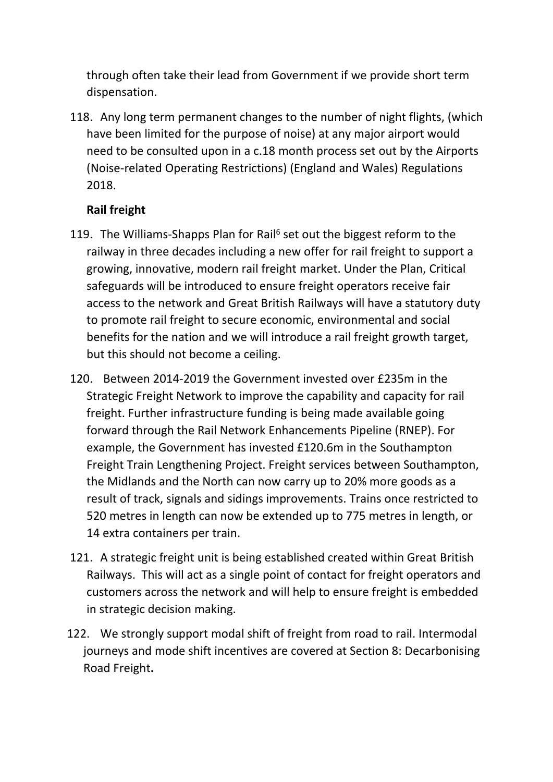through often take their lead from Government if we provide short term dispensation.

118. Any long term permanent changes to the number of night flights, (which have been limited for the purpose of noise) at any major airport would need to be consulted upon in a c.18 month process set out by the Airports (Noise-related Operating Restrictions) (England and Wales) Regulations 2018.

### **Rail freight**

- 119. The Williams-Shapps Plan for Rail<sup>6</sup> set out the biggest reform to the railway in three decades including a new offer for rail freight to support a growing, innovative, modern rail freight market. Under the Plan, Critical safeguards will be introduced to ensure freight operators receive fair access to the network and Great British Railways will have a statutory duty to promote rail freight to secure economic, environmental and social benefits for the nation and we will introduce a rail freight growth target, but this should not become a ceiling.
- 120. Between 2014-2019 the Government invested over £235m in the Strategic Freight Network to improve the capability and capacity for rail freight. Further infrastructure funding is being made available going forward through the Rail Network Enhancements Pipeline (RNEP). For example, the Government has invested £120.6m in the Southampton Freight Train Lengthening Project. Freight services between Southampton, the Midlands and the North can now carry up to 20% more goods as a result of track, signals and sidings improvements. Trains once restricted to 520 metres in length can now be extended up to 775 metres in length, or 14 extra containers per train.
- 121. A strategic freight unit is being established created within Great British Railways. This will act as a single point of contact for freight operators and customers across the network and will help to ensure freight is embedded in strategic decision making.
- 122. We strongly support modal shift of freight from road to rail. Intermodal journeys and mode shift incentives are covered at Section 8: Decarbonising Road Freight**.**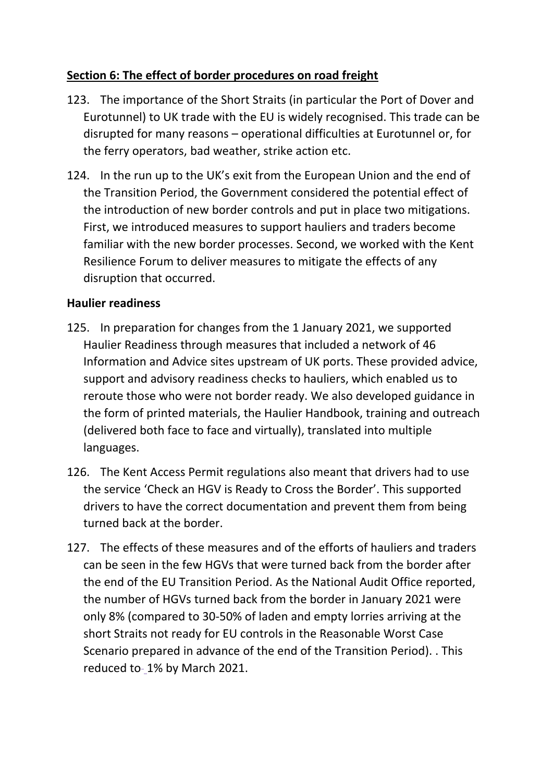## **Section 6: The effect of border procedures on road freight**

- 123. The importance of the Short Straits (in particular the Port of Dover and Eurotunnel) to UK trade with the EU is widely recognised. This trade can be disrupted for many reasons – operational difficulties at Eurotunnel or, for the ferry operators, bad weather, strike action etc.
- 124. In the run up to the UK's exit from the European Union and the end of the Transition Period, the Government considered the potential effect of the introduction of new border controls and put in place two mitigations. First, we introduced measures to support hauliers and traders become familiar with the new border processes. Second, we worked with the Kent Resilience Forum to deliver measures to mitigate the effects of any disruption that occurred.

### **Haulier readiness**

- 125. In preparation for changes from the 1 January 2021, we supported Haulier Readiness through measures that included a network of 46 Information and Advice sites upstream of UK ports. These provided advice, support and advisory readiness checks to hauliers, which enabled us to reroute those who were not border ready. We also developed guidance in the form of printed materials, the Haulier Handbook, training and outreach (delivered both face to face and virtually), translated into multiple languages.
- 126. The Kent Access Permit regulations also meant that drivers had to use the service 'Check an HGV is Ready to Cross the Border'. This supported drivers to have the correct documentation and prevent them from being turned back at the border.
- 127. The effects of these measures and of the efforts of hauliers and traders can be seen in the few HGVs that were turned back from the border after the end of the EU Transition Period. As the National Audit Office reported, the number of HGVs turned back from the border in January 2021 were only 8% (compared to 30-50% of laden and empty lorries arriving at the short Straits not ready for EU controls in the Reasonable Worst Case Scenario prepared in advance of the end of the Transition Period). . This reduced to-1% by March 2021.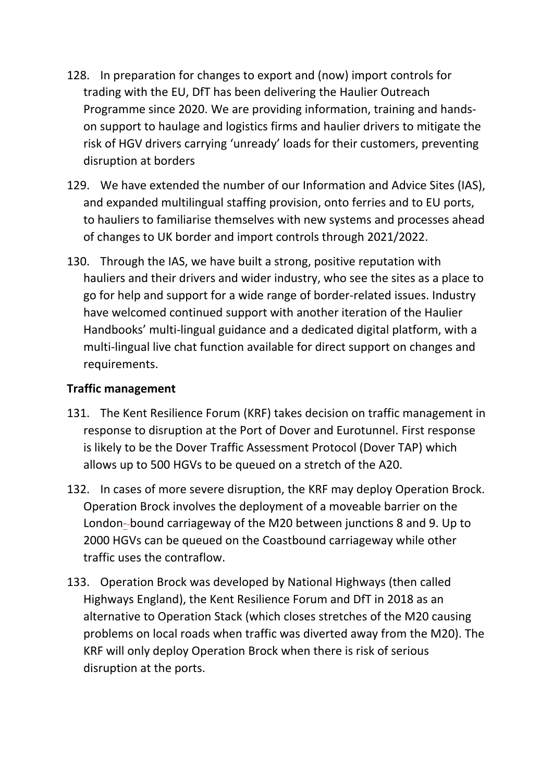- 128. In preparation for changes to export and (now) import controls for trading with the EU, DfT has been delivering the Haulier Outreach Programme since 2020. We are providing information, training and handson support to haulage and logistics firms and haulier drivers to mitigate the risk of HGV drivers carrying 'unready' loads for their customers, preventing disruption at borders
- 129. We have extended the number of our Information and Advice Sites (IAS), and expanded multilingual staffing provision, onto ferries and to EU ports, to hauliers to familiarise themselves with new systems and processes ahead of changes to UK border and import controls through 2021/2022.
- 130. Through the IAS, we have built a strong, positive reputation with hauliers and their drivers and wider industry, who see the sites as a place to go for help and support for a wide range of border-related issues. Industry have welcomed continued support with another iteration of the Haulier Handbooks' multi-lingual guidance and a dedicated digital platform, with a multi-lingual live chat function available for direct support on changes and requirements.

### **Traffic management**

- 131. The Kent Resilience Forum (KRF) takes decision on traffic management in response to disruption at the Port of Dover and Eurotunnel. First response is likely to be the Dover Traffic Assessment Protocol (Dover TAP) which allows up to 500 HGVs to be queued on a stretch of the A20.
- 132. In cases of more severe disruption, the KRF may deploy Operation Brock. Operation Brock involves the deployment of a moveable barrier on the London- bound carriageway of the M20 between junctions 8 and 9. Up to 2000 HGVs can be queued on the Coastbound carriageway while other traffic uses the contraflow.
- 133. Operation Brock was developed by National Highways (then called Highways England), the Kent Resilience Forum and DfT in 2018 as an alternative to Operation Stack (which closes stretches of the M20 causing problems on local roads when traffic was diverted away from the M20). The KRF will only deploy Operation Brock when there is risk of serious disruption at the ports.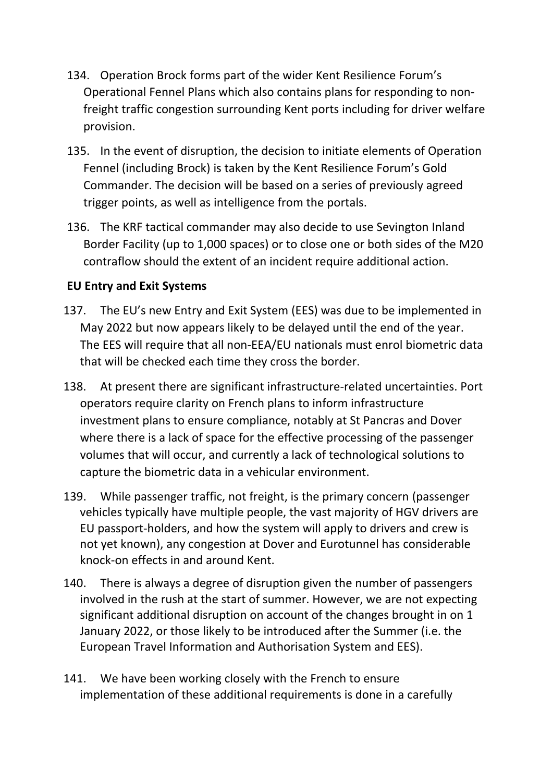- 134. Operation Brock forms part of the wider Kent Resilience Forum's Operational Fennel Plans which also contains plans for responding to nonfreight traffic congestion surrounding Kent ports including for driver welfare provision.
- 135. In the event of disruption, the decision to initiate elements of Operation Fennel (including Brock) is taken by the Kent Resilience Forum's Gold Commander. The decision will be based on a series of previously agreed trigger points, as well as intelligence from the portals.
- 136. The KRF tactical commander may also decide to use Sevington Inland Border Facility (up to 1,000 spaces) or to close one or both sides of the M20 contraflow should the extent of an incident require additional action.

### **EU Entry and Exit Systems**

- 137. The EU's new Entry and Exit System (EES) was due to be implemented in May 2022 but now appears likely to be delayed until the end of the year. The EES will require that all non-EEA/EU nationals must enrol biometric data that will be checked each time they cross the border.
- 138. At present there are significant infrastructure-related uncertainties. Port operators require clarity on French plans to inform infrastructure investment plans to ensure compliance, notably at St Pancras and Dover where there is a lack of space for the effective processing of the passenger volumes that will occur, and currently a lack of technological solutions to capture the biometric data in a vehicular environment.
- 139. While passenger traffic, not freight, is the primary concern (passenger vehicles typically have multiple people, the vast majority of HGV drivers are EU passport-holders, and how the system will apply to drivers and crew is not yet known), any congestion at Dover and Eurotunnel has considerable knock-on effects in and around Kent.
- 140. There is always a degree of disruption given the number of passengers involved in the rush at the start of summer. However, we are not expecting significant additional disruption on account of the changes brought in on 1 January 2022, or those likely to be introduced after the Summer (i.e. the European Travel Information and Authorisation System and EES).
- 141. We have been working closely with the French to ensure implementation of these additional requirements is done in a carefully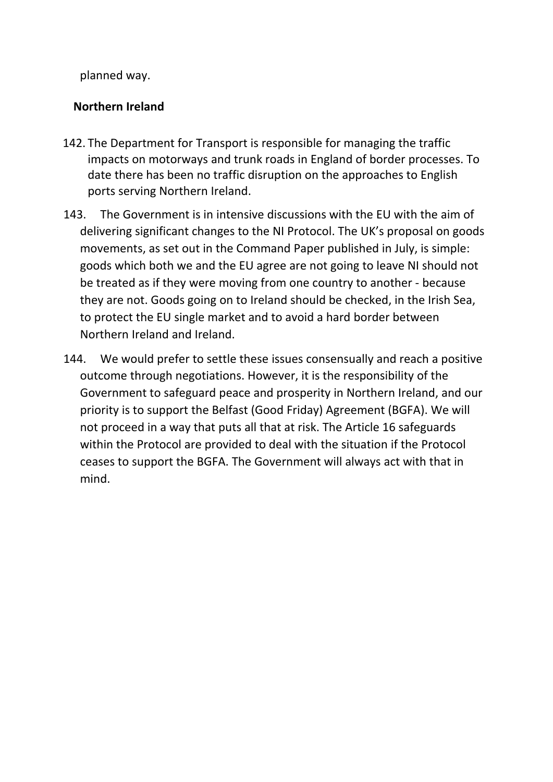planned way.

#### **Northern Ireland**

- 142. The Department for Transport is responsible for managing the traffic impacts on motorways and trunk roads in England of border processes. To date there has been no traffic disruption on the approaches to English ports serving Northern Ireland.
- 143. The Government is in intensive discussions with the EU with the aim of delivering significant changes to the NI Protocol. The UK's proposal on goods movements, as set out in the Command Paper published in July, is simple: goods which both we and the EU agree are not going to leave NI should not be treated as if they were moving from one country to another - because they are not. Goods going on to Ireland should be checked, in the Irish Sea, to protect the EU single market and to avoid a hard border between Northern Ireland and Ireland.
- 144. We would prefer to settle these issues consensually and reach a positive outcome through negotiations. However, it is the responsibility of the Government to safeguard peace and prosperity in Northern Ireland, and our priority is to support the Belfast (Good Friday) Agreement (BGFA). We will not proceed in a way that puts all that at risk. The Article 16 safeguards within the Protocol are provided to deal with the situation if the Protocol ceases to support the BGFA. The Government will always act with that in mind.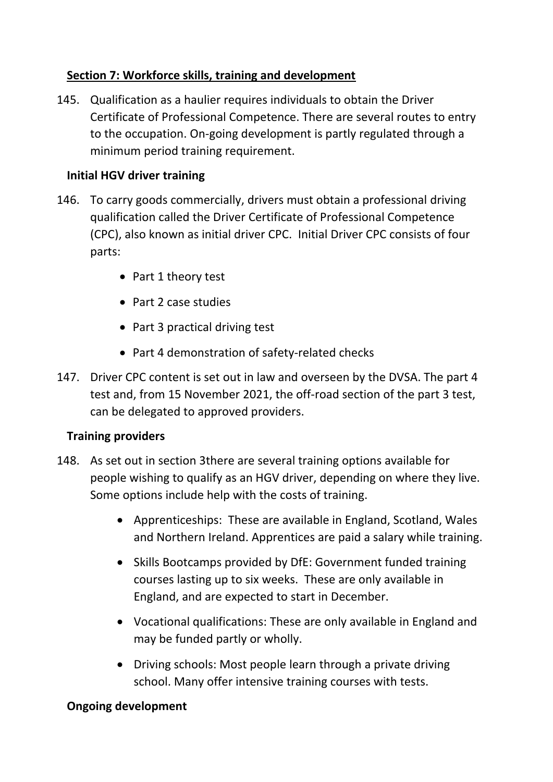## **Section 7: Workforce skills, training and development**

145. Qualification as a haulier requires individuals to obtain the Driver Certificate of Professional Competence. There are several routes to entry to the occupation. On-going development is partly regulated through a minimum period training requirement.

### **Initial HGV driver training**

- 146. To carry goods commercially, drivers must obtain a professional driving qualification called the Driver Certificate of Professional Competence (CPC), also known as initial driver CPC. Initial Driver CPC consists of four parts:
	- Part 1 theory test
	- Part 2 case studies
	- Part 3 practical driving test
	- Part 4 demonstration of safety-related checks
- 147. Driver CPC content is set out in law and overseen by the DVSA. The part 4 test and, from 15 November 2021, the off-road section of the part 3 test, can be delegated to approved providers.

### **Training providers**

- 148. As set out in section 3there are several training options available for people wishing to qualify as an HGV driver, depending on where they live. Some options include help with the costs of training.
	- Apprenticeships: These are available in England, Scotland, Wales and Northern Ireland. Apprentices are paid a salary while training.
	- Skills Bootcamps provided by DfE: Government funded training courses lasting up to six weeks. These are only available in England, and are expected to start in December.
	- Vocational qualifications: These are only available in England and may be funded partly or wholly.
	- Driving schools: Most people learn through a private driving school. Many offer intensive training courses with tests.

#### **Ongoing development**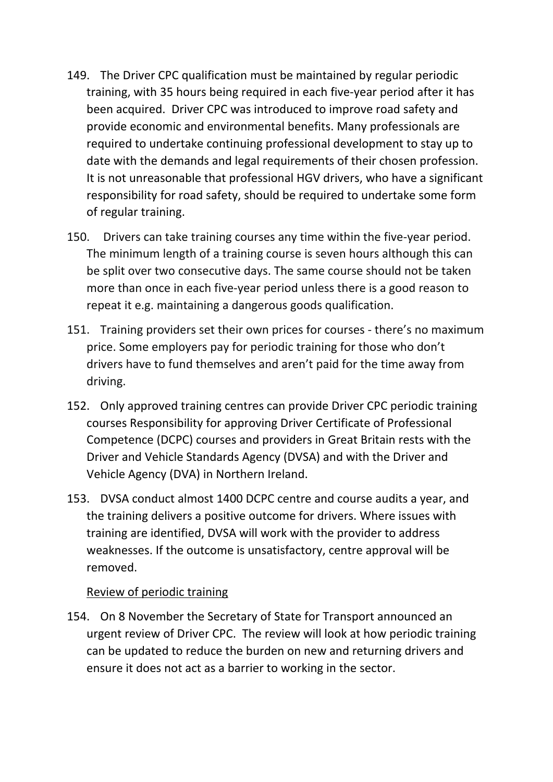- 149. The Driver CPC qualification must be maintained by regular periodic training, with 35 hours being required in each five-year period after it has been acquired. Driver CPC was introduced to improve road safety and provide economic and environmental benefits. Many professionals are required to undertake continuing professional development to stay up to date with the demands and legal requirements of their chosen profession. It is not unreasonable that professional HGV drivers, who have a significant responsibility for road safety, should be required to undertake some form of regular training.
- 150. Drivers can take training courses any time within the five-year period. The minimum length of a training course is seven hours although this can be split over two consecutive days. The same course should not be taken more than once in each five-year period unless there is a good reason to repeat it e.g. maintaining a dangerous goods qualification.
- 151. Training providers set their own prices for courses there's no maximum price. Some employers pay for periodic training for those who don't drivers have to fund themselves and aren't paid for the time away from driving.
- 152. Only approved training centres can provide Driver CPC periodic training courses Responsibility for approving Driver Certificate of Professional Competence (DCPC) courses and providers in Great Britain rests with the Driver and Vehicle Standards Agency (DVSA) and with the Driver and Vehicle Agency (DVA) in Northern Ireland.
- 153. DVSA conduct almost 1400 DCPC centre and course audits a year, and the training delivers a positive outcome for drivers. Where issues with training are identified, DVSA will work with the provider to address weaknesses. If the outcome is unsatisfactory, centre approval will be removed.

#### Review of periodic training

154. On 8 November the Secretary of State for Transport announced an urgent review of Driver CPC. The review will look at how periodic training can be updated to reduce the burden on new and returning drivers and ensure it does not act as a barrier to working in the sector.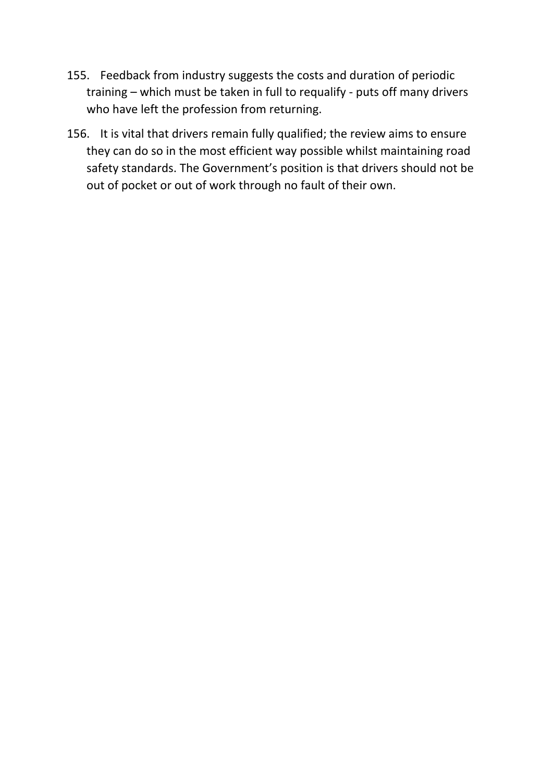- 155. Feedback from industry suggests the costs and duration of periodic training – which must be taken in full to requalify - puts off many drivers who have left the profession from returning.
- 156. It is vital that drivers remain fully qualified; the review aims to ensure they can do so in the most efficient way possible whilst maintaining road safety standards. The Government's position is that drivers should not be out of pocket or out of work through no fault of their own.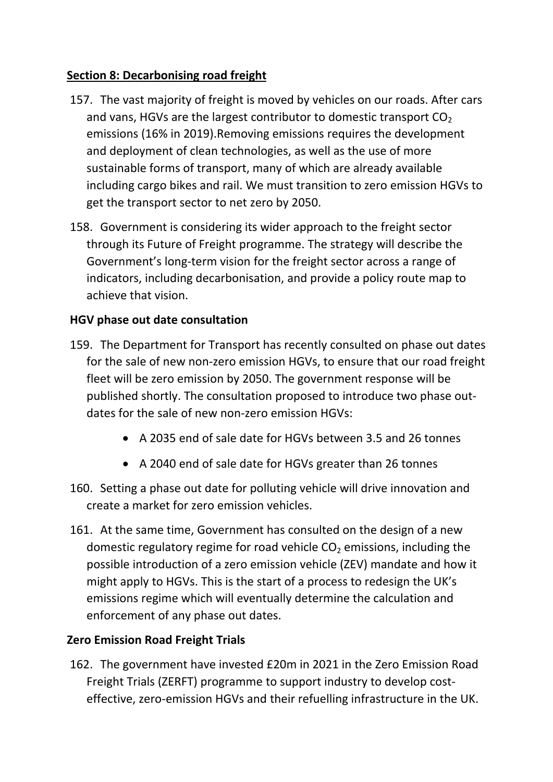### **Section 8: Decarbonising road freight**

- 157. The vast majority of freight is moved by vehicles on our roads. After cars and vans, HGVs are the largest contributor to domestic transport  $CO<sub>2</sub>$ emissions (16% in 2019).Removing emissions requires the development and deployment of clean technologies, as well as the use of more sustainable forms of transport, many of which are already available including cargo bikes and rail. We must transition to zero emission HGVs to get the transport sector to net zero by 2050.
- 158. Government is considering its wider approach to the freight sector through its Future of Freight programme. The strategy will describe the Government's long-term vision for the freight sector across a range of indicators, including decarbonisation, and provide a policy route map to achieve that vision.

## **HGV phase out date consultation**

- 159. The Department for Transport has recently consulted on phase out dates for the sale of new non-zero emission HGVs, to ensure that our road freight fleet will be zero emission by 2050. The government response will be published shortly. The consultation proposed to introduce two phase outdates for the sale of new non-zero emission HGVs:
	- A 2035 end of sale date for HGVs between 3.5 and 26 tonnes
	- A 2040 end of sale date for HGVs greater than 26 tonnes
- 160. Setting a phase out date for polluting vehicle will drive innovation and create a market for zero emission vehicles.
- 161. At the same time, Government has consulted on the design of a new domestic regulatory regime for road vehicle  $CO<sub>2</sub>$  emissions, including the possible introduction of a zero emission vehicle (ZEV) mandate and how it might apply to HGVs. This is the start of a process to redesign the UK's emissions regime which will eventually determine the calculation and enforcement of any phase out dates.

### **Zero Emission Road Freight Trials**

162. The government have invested £20m in 2021 in the Zero Emission Road Freight Trials (ZERFT) programme to support industry to develop costeffective, zero-emission HGVs and their refuelling infrastructure in the UK.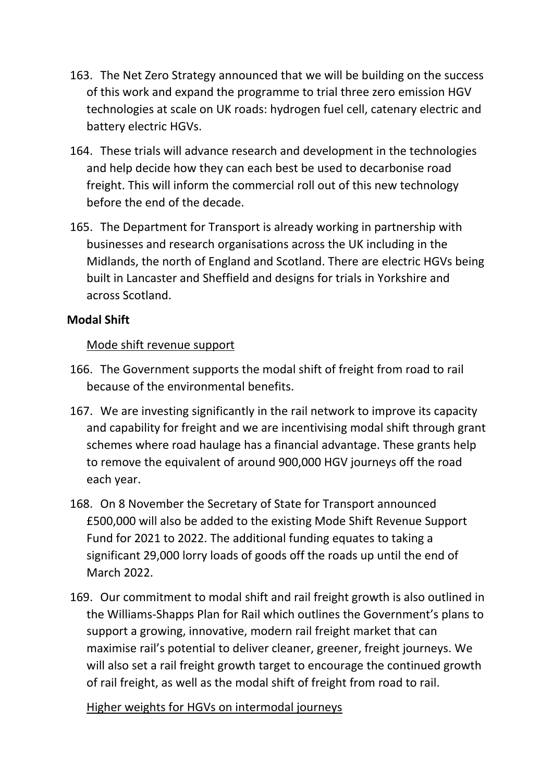- 163. The Net Zero Strategy announced that we will be building on the success of this work and expand the programme to trial three zero emission HGV technologies at scale on UK roads: hydrogen fuel cell, catenary electric and battery electric HGVs.
- 164. These trials will advance research and development in the technologies and help decide how they can each best be used to decarbonise road freight. This will inform the commercial roll out of this new technology before the end of the decade.
- 165. The Department for Transport is already working in partnership with businesses and research organisations across the UK including in the Midlands, the north of England and Scotland. There are electric HGVs being built in Lancaster and Sheffield and designs for trials in Yorkshire and across Scotland.

### **Modal Shift**

### Mode shift revenue support

- 166. The Government supports the modal shift of freight from road to rail because of the environmental benefits.
- 167. We are investing significantly in the rail network to improve its capacity and capability for freight and we are incentivising modal shift through grant schemes where road haulage has a financial advantage. These grants help to remove the equivalent of around 900,000 HGV journeys off the road each year.
- 168. On 8 November the Secretary of State for Transport announced £500,000 will also be added to the existing Mode Shift Revenue Support Fund for 2021 to 2022. The additional funding equates to taking a significant 29,000 lorry loads of goods off the roads up until the end of March 2022.
- 169. Our commitment to modal shift and rail freight growth is also outlined in the Williams-Shapps Plan for Rail which outlines the Government's plans to support a growing, innovative, modern rail freight market that can maximise rail's potential to deliver cleaner, greener, freight journeys. We will also set a rail freight growth target to encourage the continued growth of rail freight, as well as the modal shift of freight from road to rail.

### Higher weights for HGVs on intermodal journeys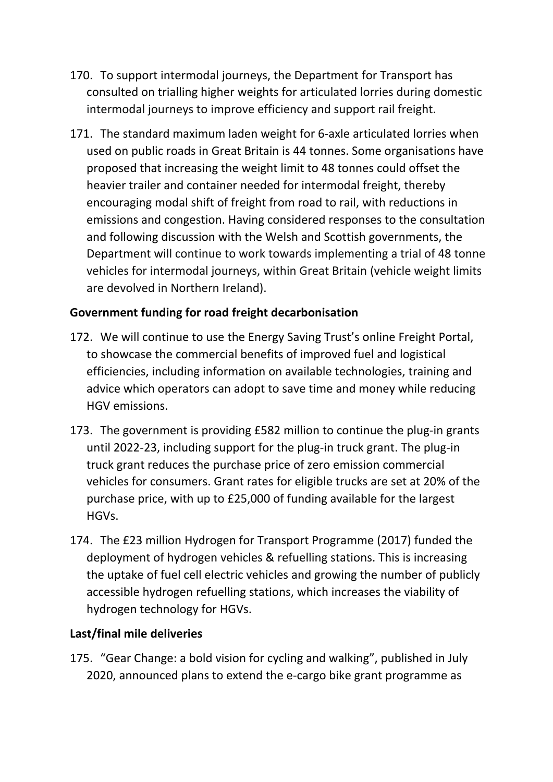- 170. To support intermodal journeys, the Department for Transport has consulted on trialling higher weights for articulated lorries during domestic intermodal journeys to improve efficiency and support rail freight.
- 171. The standard maximum laden weight for 6-axle articulated lorries when used on public roads in Great Britain is 44 tonnes. Some organisations have proposed that increasing the weight limit to 48 tonnes could offset the heavier trailer and container needed for intermodal freight, thereby encouraging modal shift of freight from road to rail, with reductions in emissions and congestion. Having considered responses to the consultation and following discussion with the Welsh and Scottish governments, the Department will continue to work towards implementing a trial of 48 tonne vehicles for intermodal journeys, within Great Britain (vehicle weight limits are devolved in Northern Ireland).

### **Government funding for road freight decarbonisation**

- 172. We will continue to use the Energy Saving Trust's online Freight Portal, to showcase the commercial benefits of improved fuel and logistical efficiencies, including information on available technologies, training and advice which operators can adopt to save time and money while reducing HGV emissions.
- 173. The government is providing £582 million to continue the plug-in grants until 2022-23, including support for the plug-in truck grant. The plug-in truck grant reduces the purchase price of zero emission commercial vehicles for consumers. Grant rates for eligible trucks are set at 20% of the purchase price, with up to £25,000 of funding available for the largest HGVs.
- 174. The £23 million Hydrogen for Transport Programme (2017) funded the deployment of hydrogen vehicles & refuelling stations. This is increasing the uptake of fuel cell electric vehicles and growing the number of publicly accessible hydrogen refuelling stations, which increases the viability of hydrogen technology for HGVs.

#### **Last/final mile deliveries**

175. "Gear Change: a bold vision for cycling and walking", published in July 2020, announced plans to extend the e-cargo bike grant programme as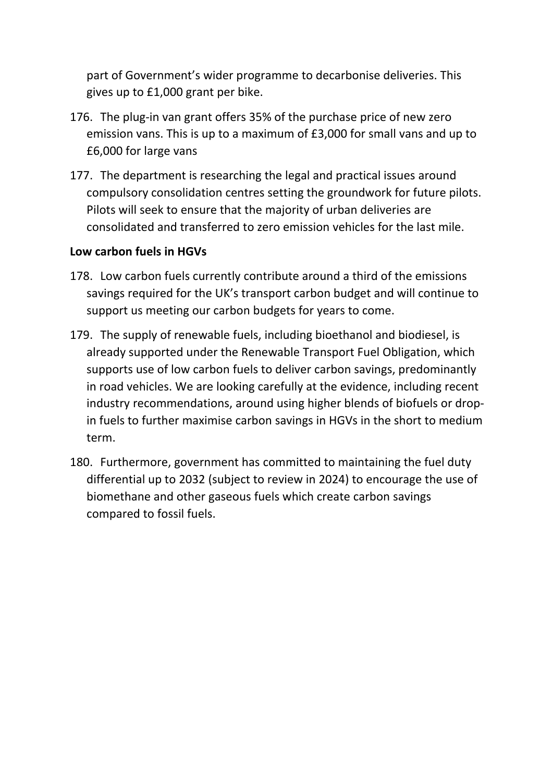part of Government's wider programme to decarbonise deliveries. This gives up to £1,000 grant per bike.

- 176. The plug-in van grant offers 35% of the purchase price of new zero emission vans. This is up to a maximum of £3,000 for small vans and up to £6,000 for large vans
- 177. The department is researching the legal and practical issues around compulsory consolidation centres setting the groundwork for future pilots. Pilots will seek to ensure that the majority of urban deliveries are consolidated and transferred to zero emission vehicles for the last mile.

#### **Low carbon fuels in HGVs**

- 178. Low carbon fuels currently contribute around a third of the emissions savings required for the UK's transport carbon budget and will continue to support us meeting our carbon budgets for years to come.
- 179. The supply of renewable fuels, including bioethanol and biodiesel, is already supported under the Renewable Transport Fuel Obligation, which supports use of low carbon fuels to deliver carbon savings, predominantly in road vehicles. We are looking carefully at the evidence, including recent industry recommendations, around using higher blends of biofuels or dropin fuels to further maximise carbon savings in HGVs in the short to medium term.
- 180. Furthermore, government has committed to maintaining the fuel duty differential up to 2032 (subject to review in 2024) to encourage the use of biomethane and other gaseous fuels which create carbon savings compared to fossil fuels.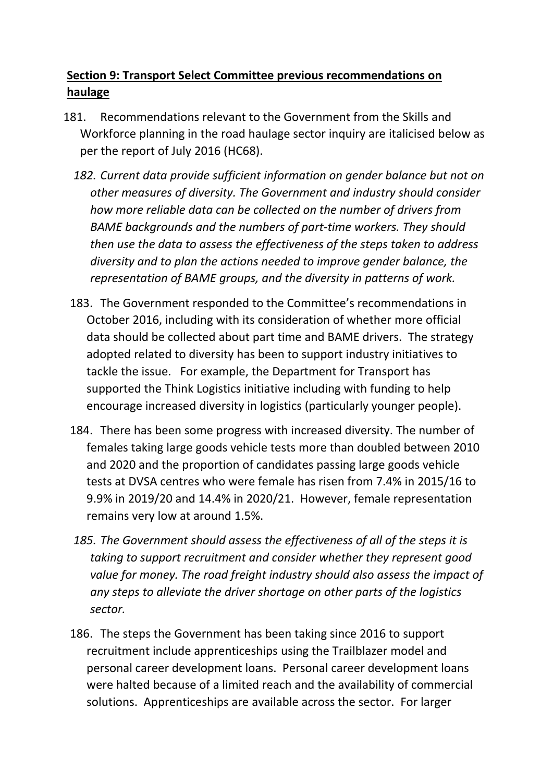# **Section 9: Transport Select Committee previous recommendations on haulage**

- 181. Recommendations relevant to the Government from the Skills and Workforce planning in the road haulage sector inquiry are italicised below as per the report of July 2016 (HC68).
	- *182. Current data provide sufficient information on gender balance but not on other measures of diversity. The Government and industry should consider how more reliable data can be collected on the number of drivers from BAME backgrounds and the numbers of part-time workers. They should then use the data to assess the effectiveness of the steps taken to address diversity and to plan the actions needed to improve gender balance, the representation of BAME groups, and the diversity in patterns of work.*
	- 183. The Government responded to the Committee's recommendations in October 2016, including with its consideration of whether more official data should be collected about part time and BAME drivers. The strategy adopted related to diversity has been to support industry initiatives to tackle the issue. For example, the Department for Transport has supported the Think Logistics initiative including with funding to help encourage increased diversity in logistics (particularly younger people).
	- 184. There has been some progress with increased diversity. The number of females taking large goods vehicle tests more than doubled between 2010 and 2020 and the proportion of candidates passing large goods vehicle tests at DVSA centres who were female has risen from 7.4% in 2015/16 to 9.9% in 2019/20 and 14.4% in 2020/21. However, female representation remains very low at around 1.5%.
	- *185. The Government should assess the effectiveness of all of the steps it is taking to support recruitment and consider whether they represent good value for money. The road freight industry should also assess the impact of any steps to alleviate the driver shortage on other parts of the logistics sector.*
	- 186. The steps the Government has been taking since 2016 to support recruitment include apprenticeships using the Trailblazer model and personal career development loans. Personal career development loans were halted because of a limited reach and the availability of commercial solutions. Apprenticeships are available across the sector. For larger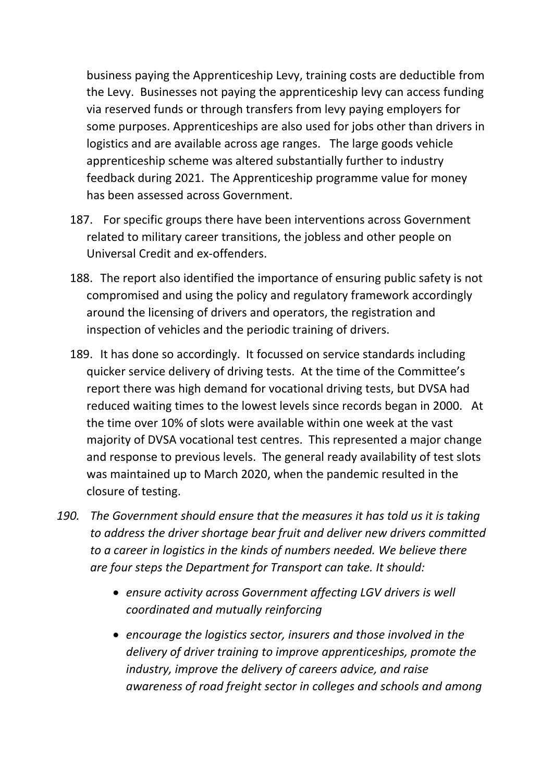business paying the Apprenticeship Levy, training costs are deductible from the Levy. Businesses not paying the apprenticeship levy can access funding via reserved funds or through transfers from levy paying employers for some purposes. Apprenticeships are also used for jobs other than drivers in logistics and are available across age ranges. The large goods vehicle apprenticeship scheme was altered substantially further to industry feedback during 2021. The Apprenticeship programme value for money has been assessed across Government.

- 187. For specific groups there have been interventions across Government related to military career transitions, the jobless and other people on Universal Credit and ex-offenders.
- 188. The report also identified the importance of ensuring public safety is not compromised and using the policy and regulatory framework accordingly around the licensing of drivers and operators, the registration and inspection of vehicles and the periodic training of drivers.
- 189. It has done so accordingly. It focussed on service standards including quicker service delivery of driving tests. At the time of the Committee's report there was high demand for vocational driving tests, but DVSA had reduced waiting times to the lowest levels since records began in 2000. At the time over 10% of slots were available within one week at the vast majority of DVSA vocational test centres. This represented a major change and response to previous levels. The general ready availability of test slots was maintained up to March 2020, when the pandemic resulted in the closure of testing.
- *190. The Government should ensure that the measures it has told us it is taking to address the driver shortage bear fruit and deliver new drivers committed to a career in logistics in the kinds of numbers needed. We believe there are four steps the Department for Transport can take. It should:*
	- *ensure activity across Government affecting LGV drivers is well coordinated and mutually reinforcing*
	- *encourage the logistics sector, insurers and those involved in the delivery of driver training to improve apprenticeships, promote the industry, improve the delivery of careers advice, and raise awareness of road freight sector in colleges and schools and among*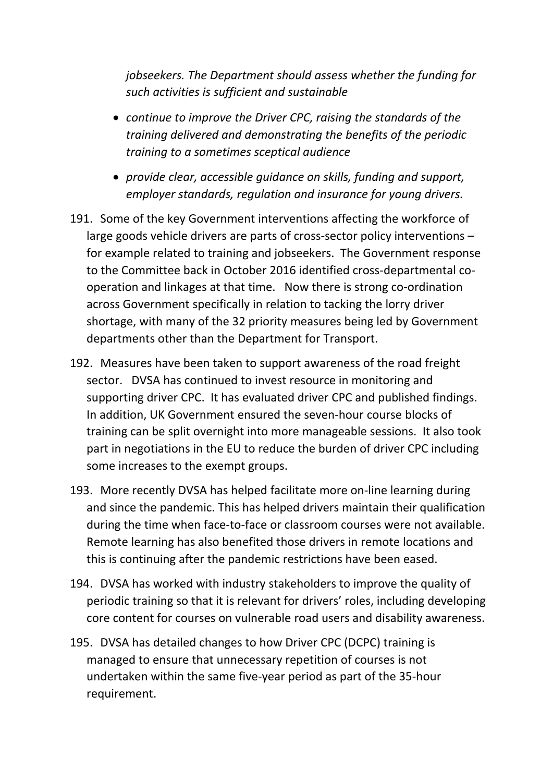*jobseekers. The Department should assess whether the funding for such activities is sufficient and sustainable*

- *continue to improve the Driver CPC, raising the standards of the training delivered and demonstrating the benefits of the periodic training to a sometimes sceptical audience*
- *provide clear, accessible guidance on skills, funding and support, employer standards, regulation and insurance for young drivers.*
- 191. Some of the key Government interventions affecting the workforce of large goods vehicle drivers are parts of cross-sector policy interventions – for example related to training and jobseekers. The Government response to the Committee back in October 2016 identified cross-departmental cooperation and linkages at that time. Now there is strong co-ordination across Government specifically in relation to tacking the lorry driver shortage, with many of the 32 priority measures being led by Government departments other than the Department for Transport.
- 192. Measures have been taken to support awareness of the road freight sector. DVSA has continued to invest resource in monitoring and supporting driver CPC. It has evaluated driver CPC and published findings. In addition, UK Government ensured the seven-hour course blocks of training can be split overnight into more manageable sessions. It also took part in negotiations in the EU to reduce the burden of driver CPC including some increases to the exempt groups.
- 193. More recently DVSA has helped facilitate more on-line learning during and since the pandemic. This has helped drivers maintain their qualification during the time when face-to-face or classroom courses were not available. Remote learning has also benefited those drivers in remote locations and this is continuing after the pandemic restrictions have been eased.
- 194. DVSA has worked with industry stakeholders to improve the quality of periodic training so that it is relevant for drivers' roles, including developing core content for courses on vulnerable road users and disability awareness.
- 195. DVSA has detailed changes to how Driver CPC (DCPC) training is managed to ensure that unnecessary repetition of courses is not undertaken within the same five-year period as part of the 35-hour requirement.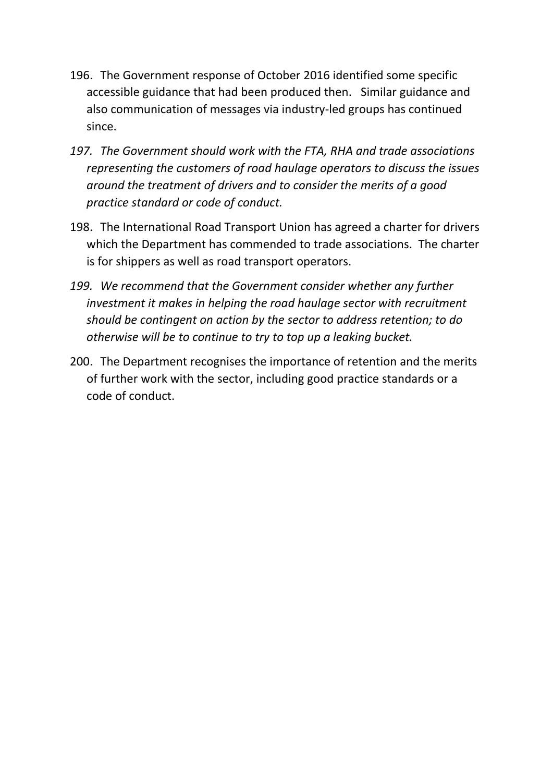- 196. The Government response of October 2016 identified some specific accessible guidance that had been produced then. Similar guidance and also communication of messages via industry-led groups has continued since.
- *197. The Government should work with the FTA, RHA and trade associations representing the customers of road haulage operators to discuss the issues around the treatment of drivers and to consider the merits of a good practice standard or code of conduct.*
- 198. The International Road Transport Union has agreed a charter for drivers which the Department has commended to trade associations. The charter is for shippers as well as road transport operators.
- *199. We recommend that the Government consider whether any further investment it makes in helping the road haulage sector with recruitment should be contingent on action by the sector to address retention; to do otherwise will be to continue to try to top up a leaking bucket.*
- 200. The Department recognises the importance of retention and the merits of further work with the sector, including good practice standards or a code of conduct.